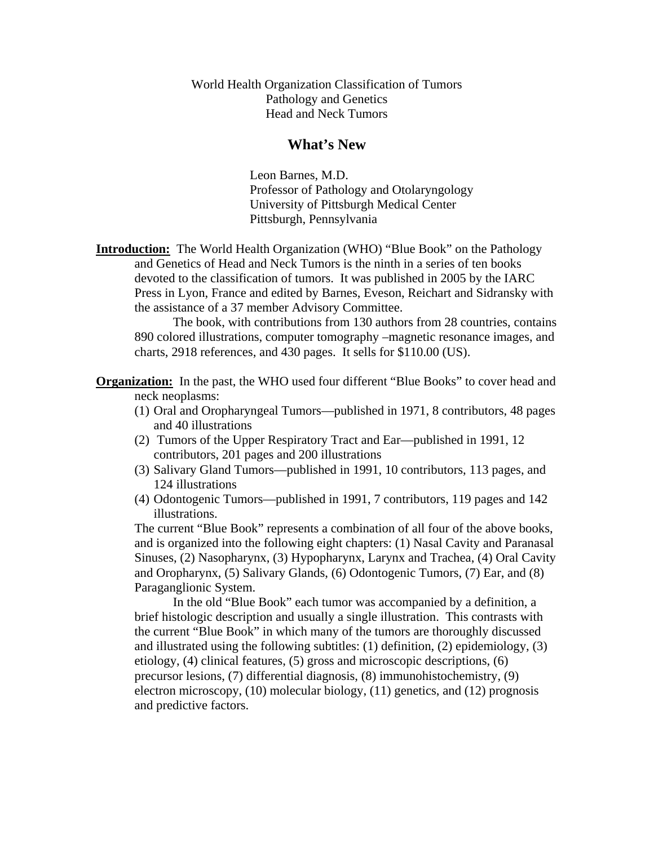World Health Organization Classification of Tumors Pathology and Genetics Head and Neck Tumors

#### **What's New**

Leon Barnes, M.D. Professor of Pathology and Otolaryngology University of Pittsburgh Medical Center Pittsburgh, Pennsylvania

**Introduction:** The World Health Organization (WHO) "Blue Book" on the Pathology and Genetics of Head and Neck Tumors is the ninth in a series of ten books devoted to the classification of tumors. It was published in 2005 by the IARC Press in Lyon, France and edited by Barnes, Eveson, Reichart and Sidransky with the assistance of a 37 member Advisory Committee.

 The book, with contributions from 130 authors from 28 countries, contains 890 colored illustrations, computer tomography –magnetic resonance images, and charts, 2918 references, and 430 pages. It sells for \$110.00 (US).

**Organization:** In the past, the WHO used four different "Blue Books" to cover head and neck neoplasms:

- (1) Oral and Oropharyngeal Tumors—published in 1971, 8 contributors, 48 pages and 40 illustrations
- (2) Tumors of the Upper Respiratory Tract and Ear—published in 1991, 12 contributors, 201 pages and 200 illustrations
- (3) Salivary Gland Tumors—published in 1991, 10 contributors, 113 pages, and 124 illustrations
- (4) Odontogenic Tumors—published in 1991, 7 contributors, 119 pages and 142 illustrations.

The current "Blue Book" represents a combination of all four of the above books, and is organized into the following eight chapters: (1) Nasal Cavity and Paranasal Sinuses, (2) Nasopharynx, (3) Hypopharynx, Larynx and Trachea, (4) Oral Cavity and Oropharynx, (5) Salivary Glands, (6) Odontogenic Tumors, (7) Ear, and (8) Paraganglionic System.

 In the old "Blue Book" each tumor was accompanied by a definition, a brief histologic description and usually a single illustration. This contrasts with the current "Blue Book" in which many of the tumors are thoroughly discussed and illustrated using the following subtitles: (1) definition, (2) epidemiology, (3) etiology, (4) clinical features, (5) gross and microscopic descriptions, (6) precursor lesions, (7) differential diagnosis, (8) immunohistochemistry, (9) electron microscopy, (10) molecular biology, (11) genetics, and (12) prognosis and predictive factors.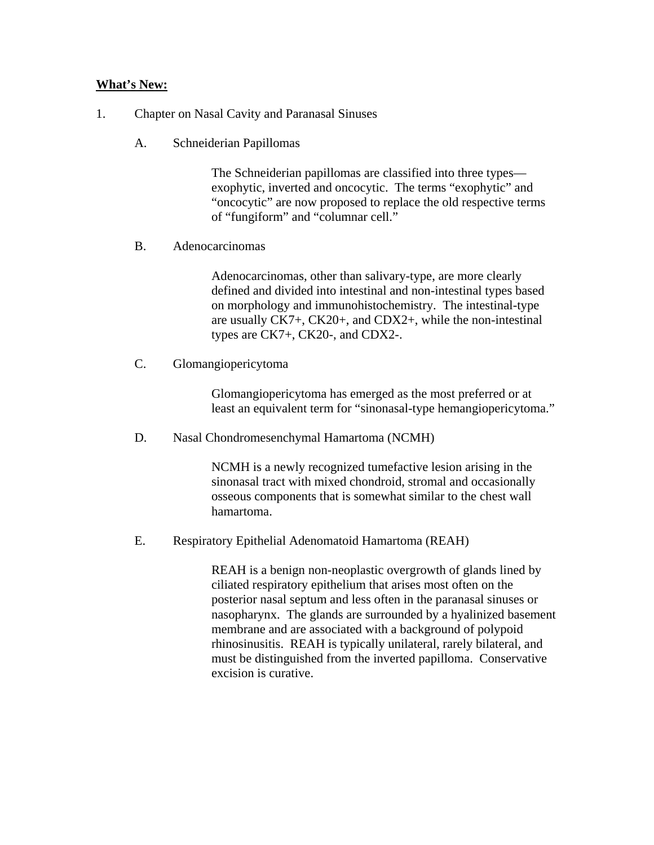#### **What's New:**

- 1. Chapter on Nasal Cavity and Paranasal Sinuses
	- A. Schneiderian Papillomas

The Schneiderian papillomas are classified into three types exophytic, inverted and oncocytic. The terms "exophytic" and "oncocytic" are now proposed to replace the old respective terms of "fungiform" and "columnar cell."

B. Adenocarcinomas

Adenocarcinomas, other than salivary-type, are more clearly defined and divided into intestinal and non-intestinal types based on morphology and immunohistochemistry. The intestinal-type are usually CK7+, CK20+, and CDX2+, while the non-intestinal types are CK7+, CK20-, and CDX2-.

C. Glomangiopericytoma

Glomangiopericytoma has emerged as the most preferred or at least an equivalent term for "sinonasal-type hemangiopericytoma."

D. Nasal Chondromesenchymal Hamartoma (NCMH)

NCMH is a newly recognized tumefactive lesion arising in the sinonasal tract with mixed chondroid, stromal and occasionally osseous components that is somewhat similar to the chest wall hamartoma.

E. Respiratory Epithelial Adenomatoid Hamartoma (REAH)

REAH is a benign non-neoplastic overgrowth of glands lined by ciliated respiratory epithelium that arises most often on the posterior nasal septum and less often in the paranasal sinuses or nasopharynx. The glands are surrounded by a hyalinized basement membrane and are associated with a background of polypoid rhinosinusitis. REAH is typically unilateral, rarely bilateral, and must be distinguished from the inverted papilloma. Conservative excision is curative.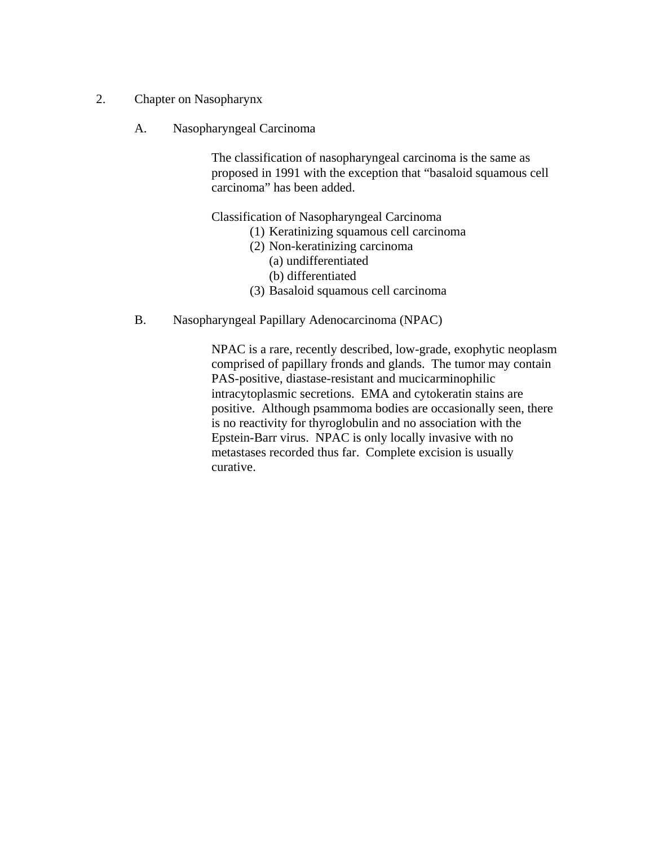- 2. Chapter on Nasopharynx
	- A. Nasopharyngeal Carcinoma

The classification of nasopharyngeal carcinoma is the same as proposed in 1991 with the exception that "basaloid squamous cell carcinoma" has been added.

Classification of Nasopharyngeal Carcinoma

- (1) Keratinizing squamous cell carcinoma
- (2) Non-keratinizing carcinoma
	- (a) undifferentiated
	- (b) differentiated
- (3) Basaloid squamous cell carcinoma
- B. Nasopharyngeal Papillary Adenocarcinoma (NPAC)

NPAC is a rare, recently described, low-grade, exophytic neoplasm comprised of papillary fronds and glands. The tumor may contain PAS-positive, diastase-resistant and mucicarminophilic intracytoplasmic secretions. EMA and cytokeratin stains are positive. Although psammoma bodies are occasionally seen, there is no reactivity for thyroglobulin and no association with the Epstein-Barr virus. NPAC is only locally invasive with no metastases recorded thus far. Complete excision is usually curative.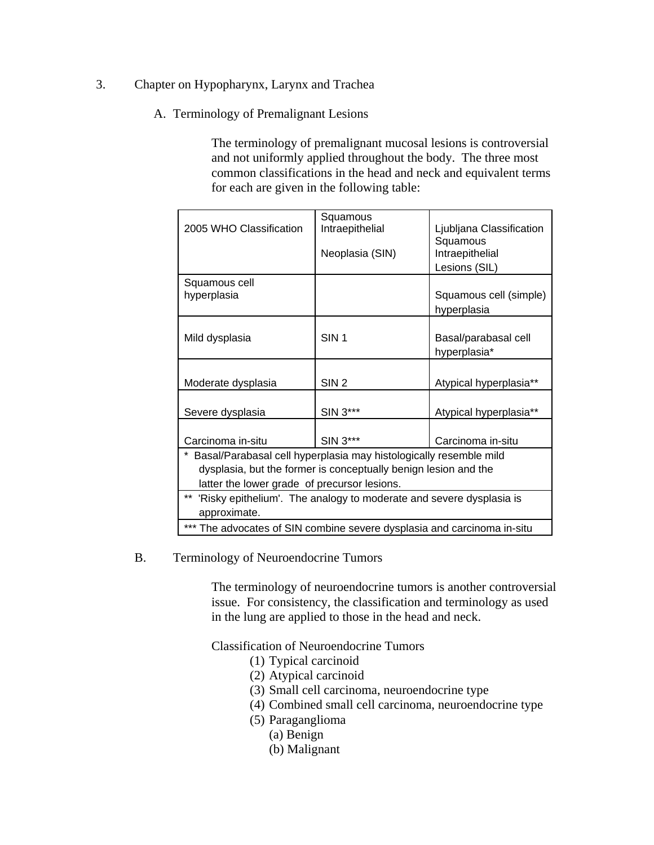- 3. Chapter on Hypopharynx, Larynx and Trachea
	- A. Terminology of Premalignant Lesions

The terminology of premalignant mucosal lesions is controversial and not uniformly applied throughout the body. The three most common classifications in the head and neck and equivalent terms for each are given in the following table:

|                                                                         | Squamous                                                            |                          |  |  |  |  |
|-------------------------------------------------------------------------|---------------------------------------------------------------------|--------------------------|--|--|--|--|
| 2005 WHO Classification                                                 | Intraepithelial                                                     | Ljubljana Classification |  |  |  |  |
|                                                                         |                                                                     | Squamous                 |  |  |  |  |
|                                                                         | Neoplasia (SIN)                                                     | Intraepithelial          |  |  |  |  |
|                                                                         |                                                                     | Lesions (SIL)            |  |  |  |  |
| Squamous cell                                                           |                                                                     |                          |  |  |  |  |
| hyperplasia                                                             |                                                                     | Squamous cell (simple)   |  |  |  |  |
|                                                                         |                                                                     | hyperplasia              |  |  |  |  |
|                                                                         |                                                                     |                          |  |  |  |  |
| Mild dysplasia                                                          | SIN <sub>1</sub>                                                    | Basal/parabasal cell     |  |  |  |  |
|                                                                         |                                                                     | hyperplasia*             |  |  |  |  |
|                                                                         |                                                                     |                          |  |  |  |  |
|                                                                         |                                                                     |                          |  |  |  |  |
| Moderate dysplasia                                                      | SIN <sub>2</sub>                                                    | Atypical hyperplasia**   |  |  |  |  |
|                                                                         |                                                                     |                          |  |  |  |  |
| Severe dysplasia                                                        | SIN 3***                                                            | Atypical hyperplasia**   |  |  |  |  |
|                                                                         |                                                                     |                          |  |  |  |  |
| Carcinoma in-situ                                                       | SIN 3***                                                            | Carcinoma in-situ        |  |  |  |  |
| Basal/Parabasal cell hyperplasia may histologically resemble mild       |                                                                     |                          |  |  |  |  |
| dysplasia, but the former is conceptually benign lesion and the         |                                                                     |                          |  |  |  |  |
| latter the lower grade of precursor lesions.                            |                                                                     |                          |  |  |  |  |
| $***$                                                                   | 'Risky epithelium'. The analogy to moderate and severe dysplasia is |                          |  |  |  |  |
| approximate.                                                            |                                                                     |                          |  |  |  |  |
|                                                                         |                                                                     |                          |  |  |  |  |
| *** The advocates of SIN combine severe dysplasia and carcinoma in-situ |                                                                     |                          |  |  |  |  |

#### B. Terminology of Neuroendocrine Tumors

The terminology of neuroendocrine tumors is another controversial issue. For consistency, the classification and terminology as used in the lung are applied to those in the head and neck.

Classification of Neuroendocrine Tumors

- (1) Typical carcinoid
- (2) Atypical carcinoid
- (3) Small cell carcinoma, neuroendocrine type
- (4) Combined small cell carcinoma, neuroendocrine type
- (5) Paraganglioma
	- (a) Benign
	- (b) Malignant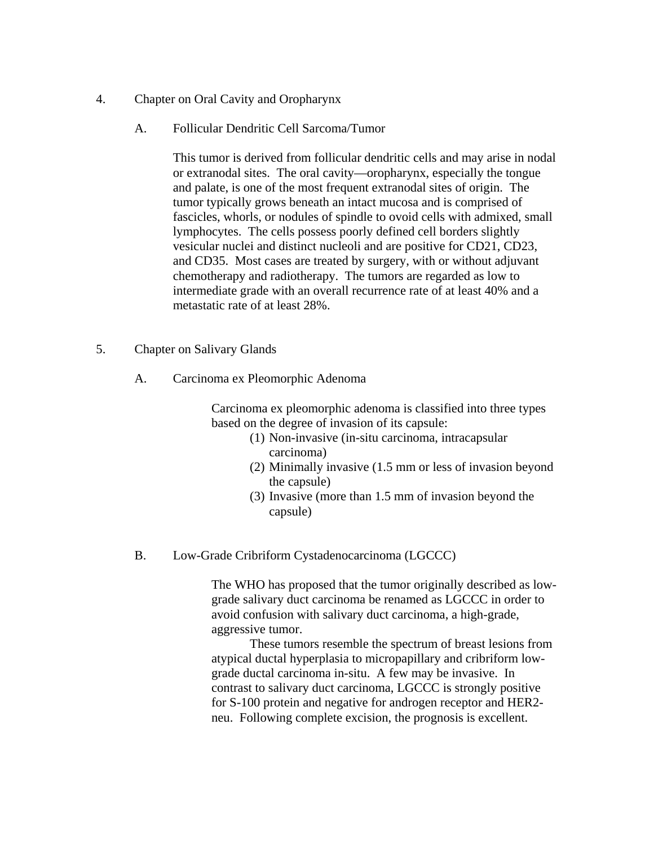- 4. Chapter on Oral Cavity and Oropharynx
	- A. Follicular Dendritic Cell Sarcoma/Tumor

This tumor is derived from follicular dendritic cells and may arise in nodal or extranodal sites. The oral cavity—oropharynx, especially the tongue and palate, is one of the most frequent extranodal sites of origin. The tumor typically grows beneath an intact mucosa and is comprised of fascicles, whorls, or nodules of spindle to ovoid cells with admixed, small lymphocytes. The cells possess poorly defined cell borders slightly vesicular nuclei and distinct nucleoli and are positive for CD21, CD23, and CD35. Most cases are treated by surgery, with or without adjuvant chemotherapy and radiotherapy. The tumors are regarded as low to intermediate grade with an overall recurrence rate of at least 40% and a metastatic rate of at least 28%.

- 5. Chapter on Salivary Glands
	- A. Carcinoma ex Pleomorphic Adenoma

Carcinoma ex pleomorphic adenoma is classified into three types based on the degree of invasion of its capsule:

- (1) Non-invasive (in-situ carcinoma, intracapsular carcinoma)
- (2) Minimally invasive (1.5 mm or less of invasion beyond the capsule)
- (3) Invasive (more than 1.5 mm of invasion beyond the capsule)
- B. Low-Grade Cribriform Cystadenocarcinoma (LGCCC)

The WHO has proposed that the tumor originally described as lowgrade salivary duct carcinoma be renamed as LGCCC in order to avoid confusion with salivary duct carcinoma, a high-grade, aggressive tumor.

These tumors resemble the spectrum of breast lesions from atypical ductal hyperplasia to micropapillary and cribriform lowgrade ductal carcinoma in-situ. A few may be invasive. In contrast to salivary duct carcinoma, LGCCC is strongly positive for S-100 protein and negative for androgen receptor and HER2 neu. Following complete excision, the prognosis is excellent.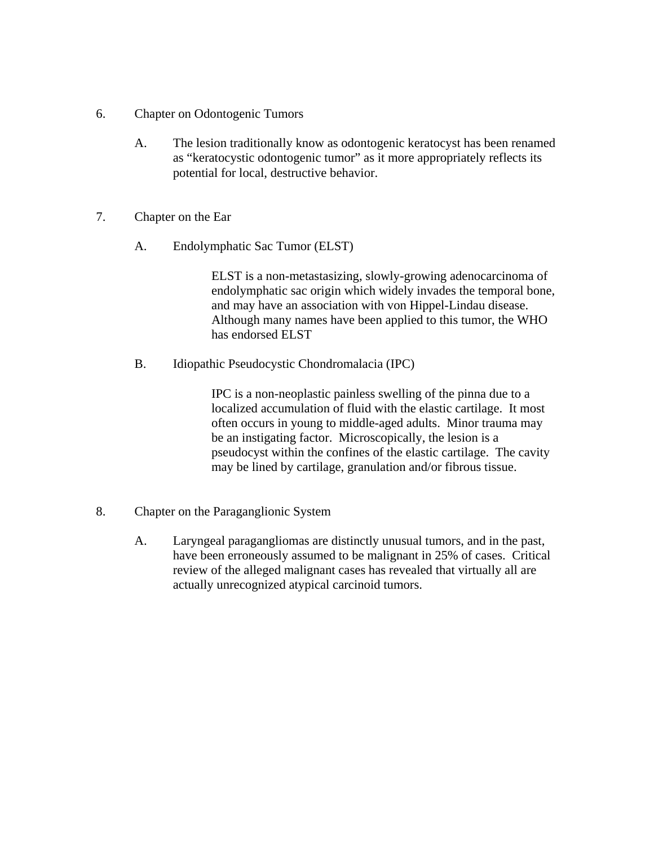- 6. Chapter on Odontogenic Tumors
	- A. The lesion traditionally know as odontogenic keratocyst has been renamed as "keratocystic odontogenic tumor" as it more appropriately reflects its potential for local, destructive behavior.
- 7. Chapter on the Ear
	- A. Endolymphatic Sac Tumor (ELST)

ELST is a non-metastasizing, slowly-growing adenocarcinoma of endolymphatic sac origin which widely invades the temporal bone, and may have an association with von Hippel-Lindau disease. Although many names have been applied to this tumor, the WHO has endorsed ELST

B. Idiopathic Pseudocystic Chondromalacia (IPC)

IPC is a non-neoplastic painless swelling of the pinna due to a localized accumulation of fluid with the elastic cartilage. It most often occurs in young to middle-aged adults. Minor trauma may be an instigating factor. Microscopically, the lesion is a pseudocyst within the confines of the elastic cartilage. The cavity may be lined by cartilage, granulation and/or fibrous tissue.

- 8. Chapter on the Paraganglionic System
	- A. Laryngeal paragangliomas are distinctly unusual tumors, and in the past, have been erroneously assumed to be malignant in 25% of cases. Critical review of the alleged malignant cases has revealed that virtually all are actually unrecognized atypical carcinoid tumors.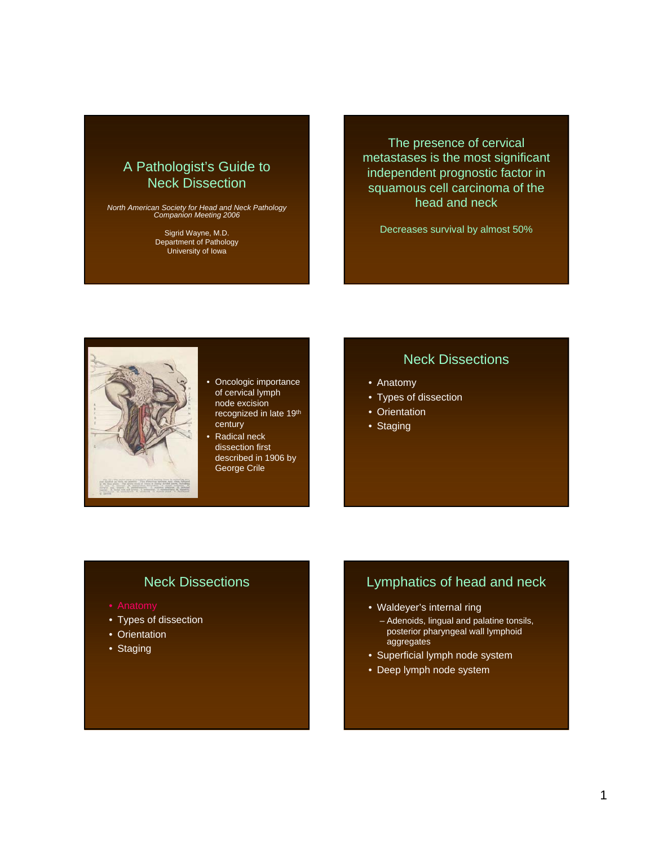# A Pathologist's Guide to Neck Dissection

*North American Society for Head and Neck Pathology Companion Meeting 2006*

Sigrid Wayne, M.D. Department of Pathology University of Iowa

The presence of cervical metastases is the most significant independent prognostic factor in squamous cell carcinoma of the head and neck

Decreases survival by almost 50%



- Oncologic importance of cervical lymph node excision recognized in late 19th century
- Radical neck dissection first described in 1906 by George Crile

# Neck Dissections

- Anatomy
- Types of dissection
- Orientation
- Staging

# Neck Dissections

- 
- Types of dissection
- Orientation
- Staging

# Lymphatics of head and neck

- Waldeyer's internal ring
	- Adenoids, lingual and palatine tonsils, posterior pharyngeal wall lymphoid aggregates
- Superficial lymph node system
- Deep lymph node system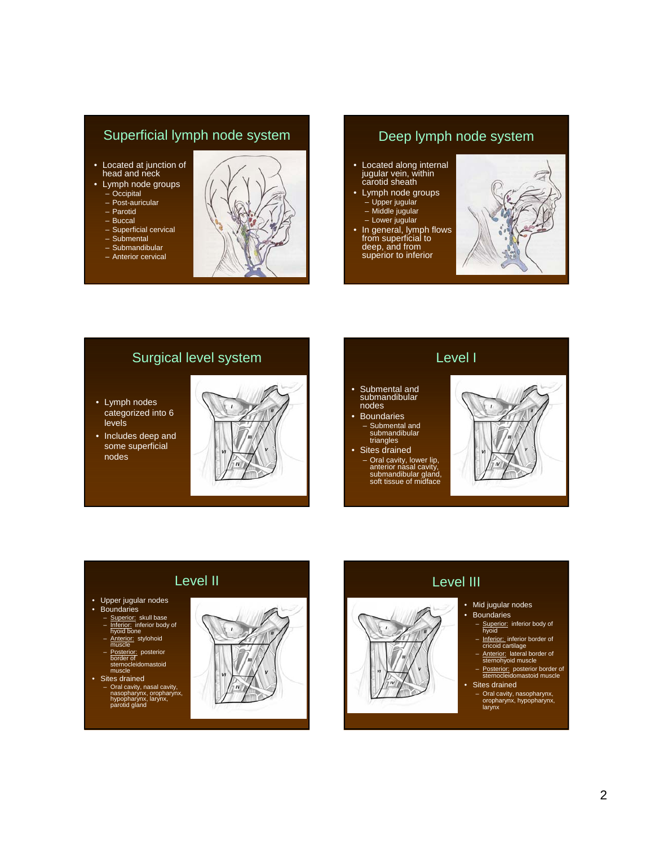# Superficial lymph node system

- Located at junction of head and neck
- Lymph node groups – Occipital
	- Post-auricular
	- Parotid
	- Buccal
	- Superficial cervical
	- Submental
	- Submandibular – Anterior cervical



# Deep lymph node system

- Located along internal jugular vein, within carotid sheath
- Lymph node groups – Upper jugular
	- Middle jugular
	- Lower jugular
- In general, lymph flows from superficial to deep, and from superior to inferior



# Surgical level system

- Lymph nodes categorized into 6 levels
- Includes deep and some superficial nodes



## Level I

- Submental and submandibular nodes
- Boundaries – Submental and submandibular triangles
- Sites drained – Oral cavity, lower lip, anterior nasal cavity, submandibular gland, soft tissue of midface



# Level II

- Upper jugular nodes
- **Boundaries**
- Superior: skull base
- Inferior: inferior body of hyoid bone
- 
- Anterior: stylohoid<br>muscle<br>Posterior: posterior – Posterior: posterior border of sternocleidomastoid muscle
- Sites drained
	- Oral cavity, nasal cavity, nasopharynx, oropharynx, hypopharynx, larynx, parotid gland





# • Mid jugular nodes

Level III

- Boundaries
	- Superior: inferior body of<br>hyoid
	- Inferior: inferior border of<br>cricoid cartilage
	- Anterior: lateral border of sternohyoid muscle
	- Posterior: posterior border of sternocleidomastoid muscle Sites drained
	- Oral cavity, nasopharynx, oropharynx, hypopharynx, larynx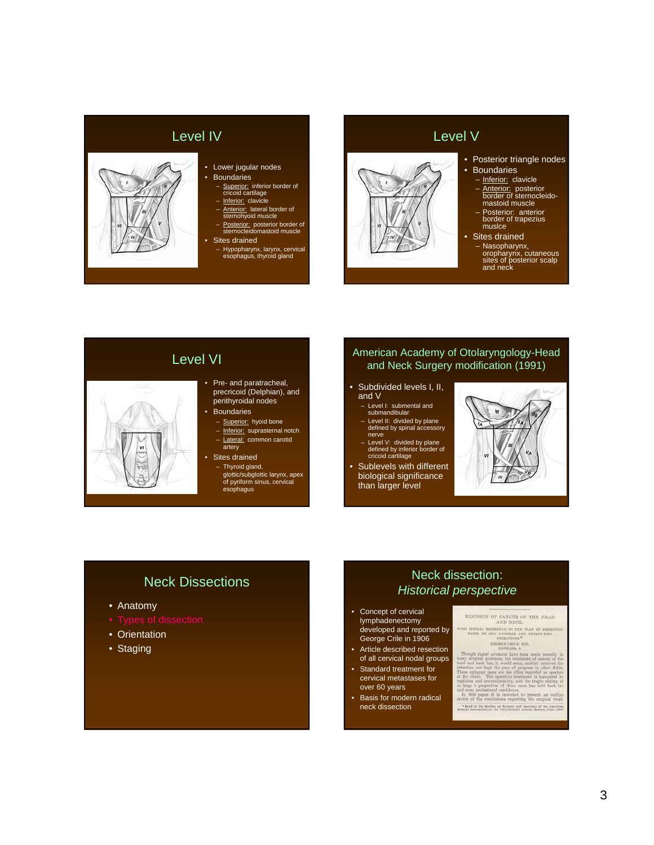# Level IV • Boundaries – Inferior: clavicle – Anterior: lateral border of sternohyoid muscle • Sites drained

## • Lower jugular nodes

- 
- Superior: inferior border of<br>cricoid cartilage
- 
- 
- Posterior: posterior border of sternocleidomastoid muscle
- - Hypopharynx, larynx, cervical esophagus, thyroid gland

# Level V



#### • Posterior triangle nodes

- **Boundaries**
- Inferior: clavicle
- Anterior: posterior border of sternocleido-mastoid muscle
- Posterior: anterior border of trapezius muslce
- Sites drained
	- Nasopharynx, oropharynx, cutaneous sites of posterior scalp and neck

# Level VI

- Pre- and paratracheal, precricoid (Delphian), and perithyroidal nodes
- Boundaries
	- Superior: hyoid bone – Inferior: suprasternal notch
	- Lateral: common carotid artery
- Sites drained – Thyroid gland, glottic/subglottic larynx, apex of pyriform sinus, cervical esophagus

#### American Academy of Otolaryngology-Head and Neck Surgery modification (1991)

- Subdivided levels I, II, and V
	- Level I: submental and submandibular
	- Level II: divided by plane defined by spinal accessory nerve
	- Level V: divided by plane defined by inferior border of cricoid cartilage
- Sublevels with different biological significance than larger level



## Neck Dissections

- Anatomy
- 
- Orientation
- Staging

## Neck dissection: *Historical perspective*

- Concept of cervical lymphadenectomy developed and reported by George Crile in 1906
- Article described resection of all cervical nodal groups
- Standard treatment for cervical metastases for over 60 years
- Basis for modern radical neck dissection

EXCISION OF CANCER OF THE HEAD AND NECK.

 $\label{eq:3} \vspace{-0.1cm} \begin{tabular}{p{0.85\textwidth}} \vspace{-0.1cm} \vspace{-0.1cm} \vspace{-0.1cm} \vspace{-0.1cm} \vspace{-0.1cm} \vspace{-0.1cm} \vspace{-0.1cm} \vspace{-0.1cm} \vspace{-0.1cm} \vspace{-0.1cm} \vspace{-0.1cm} \vspace{-0.1cm} \vspace{-0.1cm} \vspace{-0.1cm} \vspace{-0.1cm} \vspace{-0.1cm} \vspace{-0.1cm} \vspace{-0.1cm} \vspace{-0.1cm} \vspace{-0.1cm} \vspace{-0.1cm$ 

 $\bullet$  Read in the Section on Surpery and Anatomy of the American Medical Association, at the Fifty-server<br>is Annual Session, June, 1906.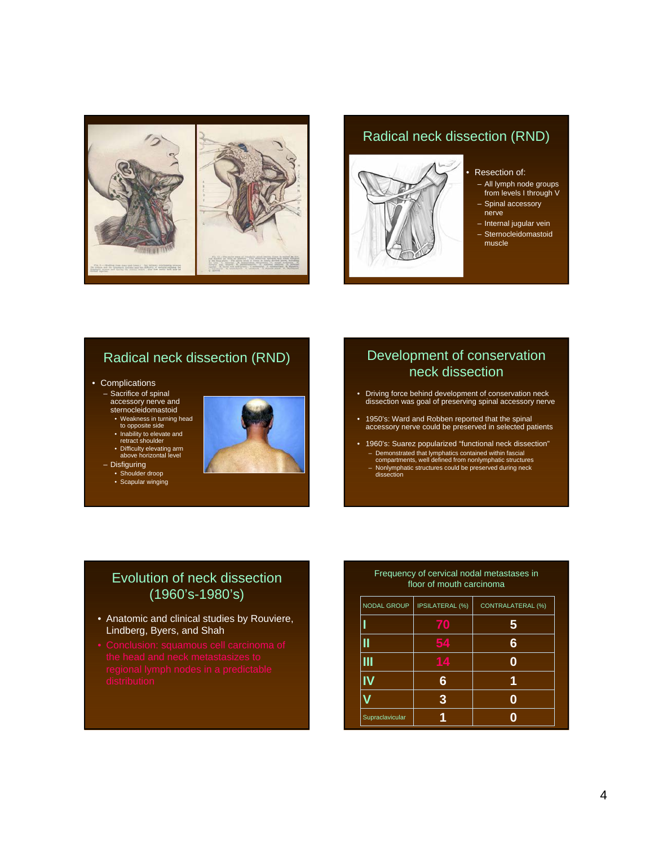

# Radical neck dissection (RND)



#### Resection of:

- All lymph node groups from levels I through V
- Spinal accessory nerve
- Internal jugular vein
- Sternocleidomastoid muscle

# Radical neck dissection (RND)

- Complications
	- Sacrifice of spinal accessory nerve and sternocleidomastoid
	- Weakness in turning head to opposite side
	- Inability to elevate and retract shoulder
	- Difficulty elevating arm above horizontal level
	- Disfiguring
		- Shoulder droop
		- Scapular winging



# Development of conservation neck dissection

- Driving force behind development of conservation neck dissection was goal of preserving spinal accessory nerve
- 1950's: Ward and Robben reported that the spinal accessory nerve could be preserved in selected patients
- 1960's: Suarez popularized "functional neck dissection" – Demonstrated that lymphatics contained within fascial compartments, well defined from nonlymphatic structures
	- Nonlymphatic structures could be preserved during neck dissection

# Evolution of neck dissection (1960's-1980's)

- Anatomic and clinical studies by Rouviere, Lindberg, Byers, and Shah
- 

#### Frequency of cervical nodal metastases in floor of mouth carcinoma

| NODAL GROUP     | <b>IPSILATERAL (%)</b> | <b>CONTRALATERAL (%)</b> |
|-----------------|------------------------|--------------------------|
|                 | 70                     | 5                        |
|                 | $\sqrt{4}$             | 6                        |
|                 | 74                     |                          |
|                 | ճ                      |                          |
|                 | 3                      |                          |
| Supraclavicular |                        |                          |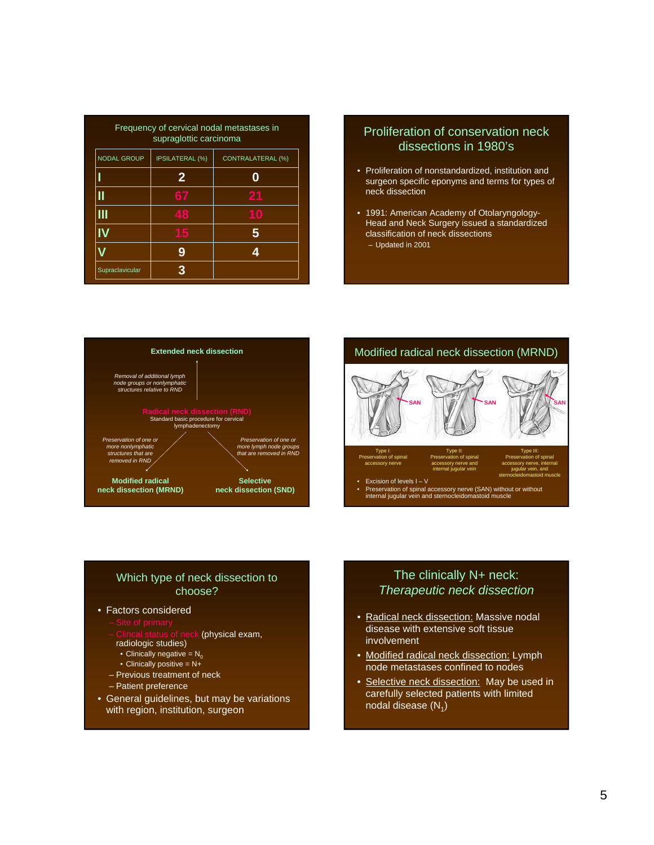| Frequency of cervical nodal metastases in<br>supraglottic carcinoma      |    |    |  |  |  |  |
|--------------------------------------------------------------------------|----|----|--|--|--|--|
| <b>NODAL GROUP</b><br><b>IPSILATERAL (%)</b><br><b>CONTRALATERAL (%)</b> |    |    |  |  |  |  |
|                                                                          | 2  |    |  |  |  |  |
|                                                                          | 67 | 21 |  |  |  |  |
|                                                                          | 48 | Ю  |  |  |  |  |
|                                                                          |    |    |  |  |  |  |
|                                                                          | 9  |    |  |  |  |  |
| Supraclavicular                                                          | 3  |    |  |  |  |  |

#### Proliferation of conservation neck dissections in 1980's

- Proliferation of nonstandardized, institution and surgeon specific eponyms and terms for types of neck dissection
- 1991: American Academy of Otolaryngology-Head and Neck Surgery issued a standardized classification of neck dissections – Updated in 2001





#### Which type of neck dissection to choose?

#### • Factors considered

- 
- (physical exam,
- radiologic studies)
- Clinically negative =  $N_0$
- Clinically positive  $= N +$
- Previous treatment of neck
- Patient preference
- General guidelines, but may be variations with region, institution, surgeon

#### The clinically N+ neck: *Therapeutic neck dissection*

- Radical neck dissection: Massive nodal disease with extensive soft tissue involvement
- Modified radical neck dissection: Lymph node metastases confined to nodes
- Selective neck dissection: May be used in carefully selected patients with limited nodal disease  $(N_1)$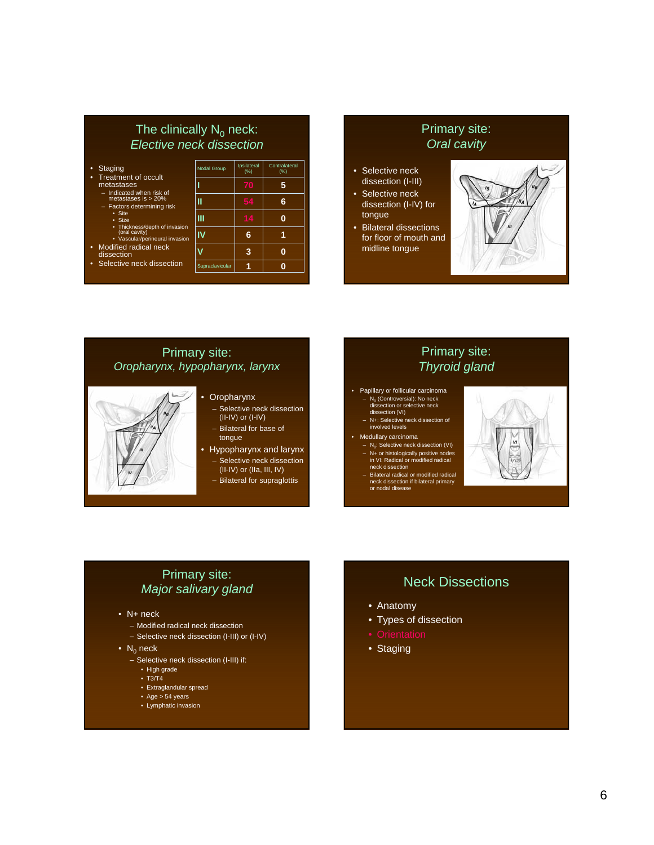#### The clinically  $N_0$  neck: *Elective neck dissection*

- Staging
	- Treatment of occult
	- metastases<br>- Indicated when risk of
	- Indicated when risk of metastases is > 20% Factors determining risk
		- Site
		- Size
		-
	- Thickness/depth of invasion (oral cavity) Vascular/perineural invasion
- Modified radical neck dissection
- Selective neck dissect

|        | <b>Nodal Group</b> | Ipsilateral<br>(%) | Contralateral<br>(%) |
|--------|--------------------|--------------------|----------------------|
|        |                    | 70                 | 5                    |
| Ċ      |                    | 54                 | 6                    |
| asion  | Ш                  | 14                 |                      |
| vasion | I۷                 | 6                  |                      |
|        |                    | 3                  |                      |
| on     | Supraclavicular    |                    |                      |

### Primary site: *Oral cavity*

- Selective neck dissection (I-III)
- Selective neck dissection (I-IV) for tongue
- Bilateral dissections for floor of mouth and midline tongue



# Primary site: *Oropharynx, hypopharynx, larynx*



#### • Oropharynx

- Selective neck dissection (II-IV) or (I-IV)
- Bilateral for base of tongue
- Hypopharynx and larynx
- Selective neck dissection (II-IV) or (IIa, III, IV)
- Bilateral for supraglottis

#### Primary site: *Thyroid gland*

- Papillary or follicular carcinoma  $- N_0$  (Controversial): No neck<br>dissection or selective neck dissection (VI) – N+: Selective neck dissection of involved levels
- 
- Medullary carcinoma  $- N_0$ : Selective neck dissection (VI)
	- N+ or histologically positive nodes in VI: Radical or modified radical neck dissection – Bilateral radical or modified radical neck dissection if bilateral primary or nodal disease



# Primary site: *Major salivary gland*

- N+ neck
	- Modified radical neck dissection
	- Selective neck dissection (I-III) or (I-IV)
- $N_0$  neck
	- Selective neck dissection (I-III) if:
		- High grade
		- T3/T4
		- Extraglandular spread
		- $\bullet$  Age  $> 54$  years
		- Lymphatic invasion

# Neck Dissections

- Anatomy
- Types of dissection
- 
- Staging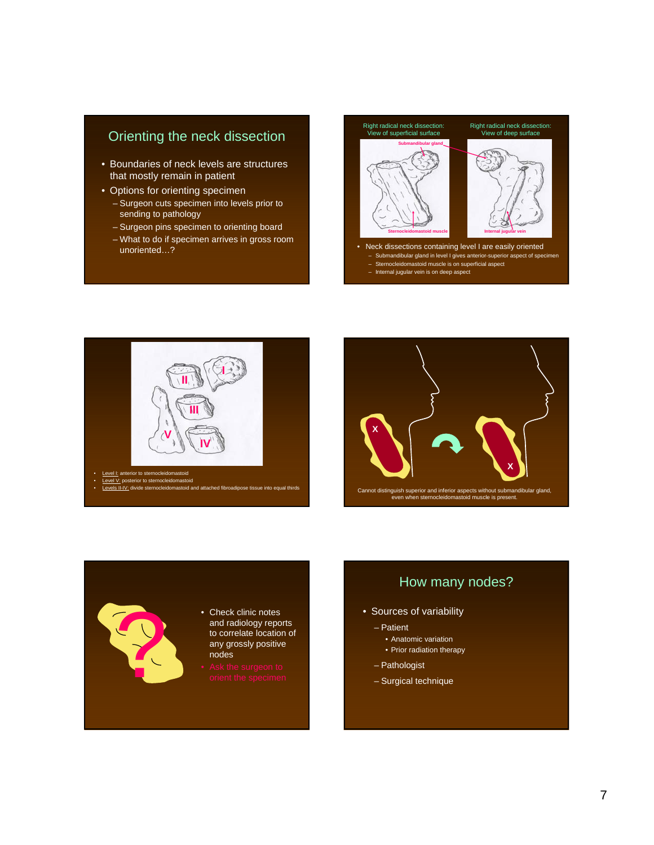# Orienting the neck dissection

- Boundaries of neck levels are structures that mostly remain in patient
- Options for orienting specimen
	- Surgeon cuts specimen into levels prior to sending to pathology
	- Surgeon pins specimen to orienting board
	- What to do if specimen arrives in gross room

unoriented…? • Neck dissections containing level I are easily oriented – Submandibular gland in level I gives anterior-superior aspect of specimen Right radical neck dissection: View of deep surface Right radical neck dissection: View of superficial surface **Submandibular gland** Sternocleidomastoid muscle **Internal internal jugular vein** 

- Sternocleidomastoid muscle is on superficial aspect
- Internal jugular vein is on deep aspect



**Levels II-IV:** divide sternocleidomastoid and attached fibroadipose tissue into equal thirds



# • Check clinic notes nodes • Check clinic notes<br>
and radiology repor<br>
to correlate location<br>
any grossly positive<br>
nodes<br>
• Ask the surgeon to<br>
orient the specimen

# and radiology reports to correlate location of any grossly positive

# How many nodes?

#### • Sources of variability

- Patient
	- Anatomic variation
	- Prior radiation therapy
- Pathologist
- Surgical technique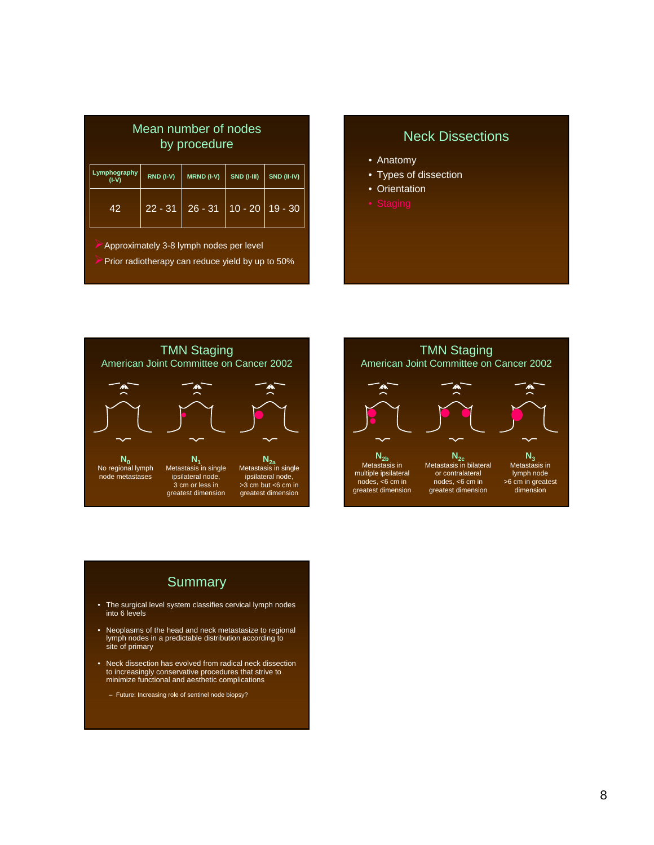| Mean number of nodes<br>by procedure |                    |             |           |           |  |
|--------------------------------------|--------------------|-------------|-----------|-----------|--|
| Lymphography<br>$(I-V)$              | <b>SND (I-III)</b> | SND (II-IV) |           |           |  |
| 42                                   | $22 - 31$          | $26 - 31$   | $10 - 20$ | $19 - 30$ |  |
|                                      |                    |             |           |           |  |

¾Approximately 3-8 lymph nodes per level

Prior radiotherapy can reduce yield by up to 50%

## Neck Dissections

- Anatomy
- Types of dissection
- Orientation
- 





# **Summary**

- The surgical level system classifies cervical lymph nodes into 6 levels
- Neoplasms of the head and neck metastasize to regional lymph nodes in a predictable distribution according to site of primary
- Neck dissection has evolved from radical neck dissection to increasingly conservative procedures that strive to minimize functional and aesthetic complications
	- Future: Increasing role of sentinel node biopsy?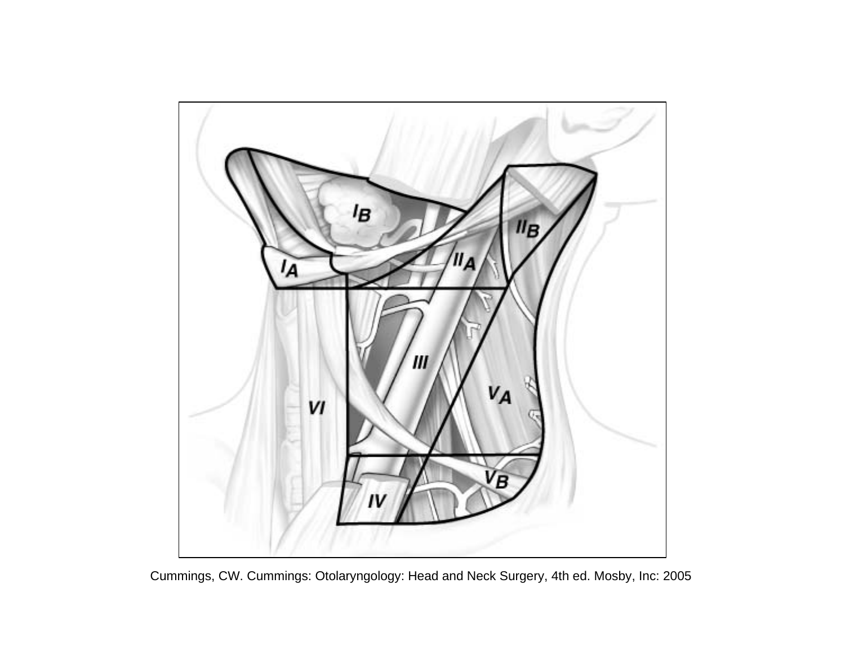

Cummings, CW. Cummings: Otolaryngology: Head and Neck Surgery, 4th ed. Mosby, Inc: 2005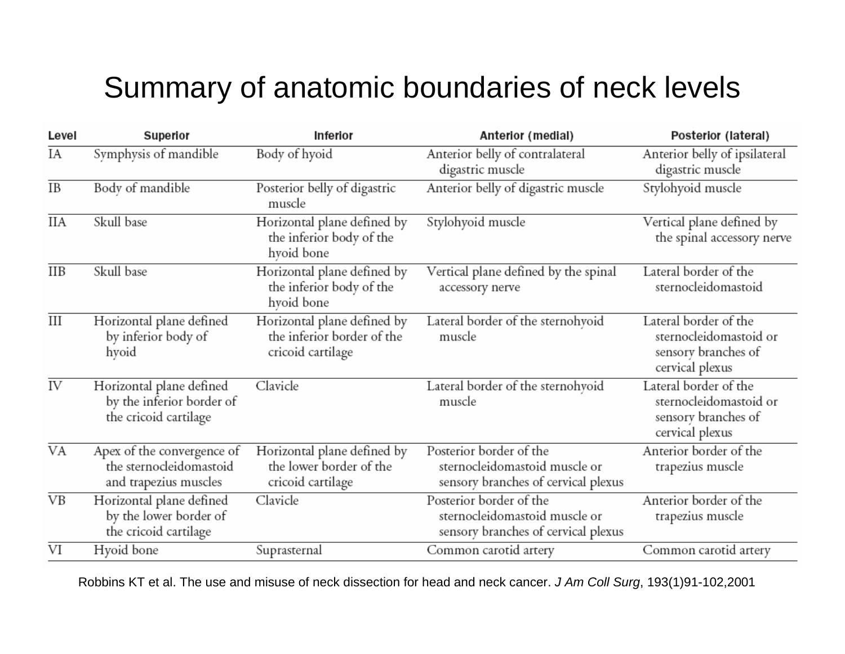# Summary of anatomic boundaries of neck levels

| Level                   | Superior                                                                                                                                                      | Anterior (medial)<br>Inferior                                                              |                                                                                                 | Posterior (lateral)                                                                       |
|-------------------------|---------------------------------------------------------------------------------------------------------------------------------------------------------------|--------------------------------------------------------------------------------------------|-------------------------------------------------------------------------------------------------|-------------------------------------------------------------------------------------------|
| ΙA                      | Symphysis of mandible                                                                                                                                         | Body of hyoid                                                                              | Anterior belly of contralateral<br>digastric muscle                                             | Anterior belly of ipsilateral<br>digastric muscle                                         |
| IB                      | Body of mandible                                                                                                                                              | Posterior belly of digastric<br>muscle                                                     | Anterior belly of digastric muscle                                                              | Stylohyoid muscle                                                                         |
| IIА                     | Skull base                                                                                                                                                    | Horizontal plane defined by<br>Stylohyoid muscle<br>the inferior body of the<br>hyoid bone |                                                                                                 | Vertical plane defined by<br>the spinal accessory nerve                                   |
| $\overline{\text{IIB}}$ | Skull base                                                                                                                                                    | Horizontal plane defined by<br>the inferior body of the<br>hyoid bone                      | Vertical plane defined by the spinal<br>accessory nerve                                         |                                                                                           |
| $\overline{III}$        | Horizontal plane defined<br>by inferior body of<br>hyoid                                                                                                      | Horizontal plane defined by<br>the inferior border of the<br>cricoid cartilage             | Lateral border of the sternohyoid<br>muscle                                                     | Lateral border of the<br>sternocleidomastoid or<br>sensory branches of<br>cervical plexus |
| IV                      | Horizontal plane defined<br>by the inferior border of<br>the cricoid cartilage                                                                                | Clavicle                                                                                   | Lateral border of the sternohyoid<br>muscle                                                     | Lateral border of the<br>sternocleidomastoid or<br>sensory branches of<br>cervical plexus |
| $\overline{\text{VA}}$  | Horizontal plane defined by<br>Apex of the convergence of<br>the sternocleidomastoid<br>the lower border of the<br>and trapezius muscles<br>cricoid cartilage |                                                                                            | Posterior border of the<br>sternocleidomastoid muscle or<br>sensory branches of cervical plexus | Anterior border of the<br>trapezius muscle                                                |
| <b>VB</b>               | Horizontal plane defined<br>by the lower border of<br>the cricoid cartilage                                                                                   | Clavicle                                                                                   | Posterior border of the<br>sternocleidomastoid muscle or<br>sensory branches of cervical plexus | Anterior border of the<br>trapezius muscle                                                |
| $\overline{\text{VI}}$  | Hyoid bone                                                                                                                                                    | Suprasternal                                                                               | Common carotid artery                                                                           | Common carotid artery                                                                     |

Robbins KT et al. The use and misuse of neck dissection for head and neck cancer. *J Am Coll Surg*, 193(1)91-102,2001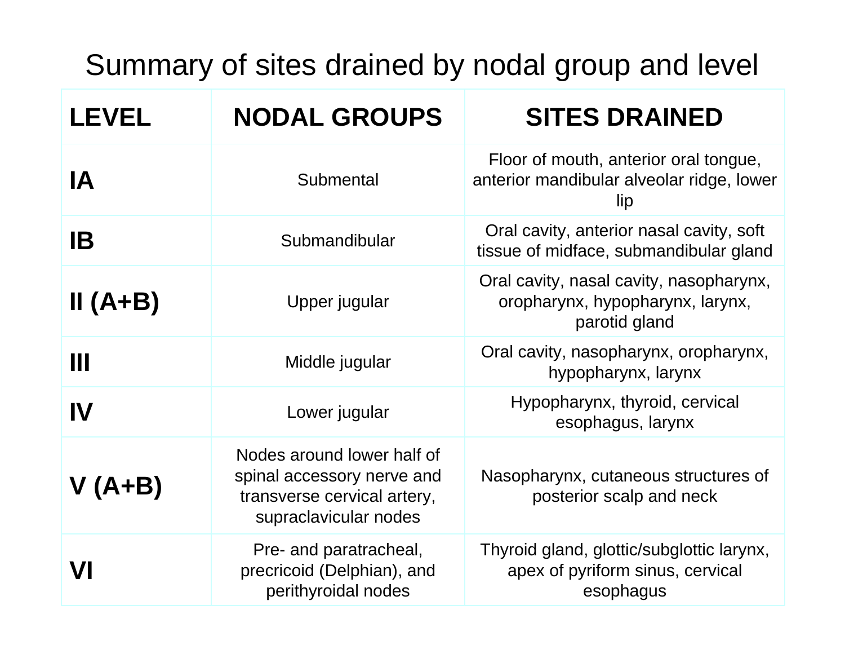Summary of sites drained by nodal group and level

| <b>LEVEL</b> | <b>NODAL GROUPS</b>                                                                                              | <b>SITES DRAINED</b>                                                                         |
|--------------|------------------------------------------------------------------------------------------------------------------|----------------------------------------------------------------------------------------------|
| <b>IA</b>    | Submental                                                                                                        | Floor of mouth, anterior oral tongue,<br>anterior mandibular alveolar ridge, lower<br>lip    |
| IB           | Submandibular                                                                                                    | Oral cavity, anterior nasal cavity, soft<br>tissue of midface, submandibular gland           |
| $II(A+B)$    | Upper jugular                                                                                                    | Oral cavity, nasal cavity, nasopharynx,<br>oropharynx, hypopharynx, larynx,<br>parotid gland |
| Ш            | Middle jugular                                                                                                   | Oral cavity, nasopharynx, oropharynx,<br>hypopharynx, larynx                                 |
| IV           | Lower jugular                                                                                                    | Hypopharynx, thyroid, cervical<br>esophagus, larynx                                          |
| $V(A+B)$     | Nodes around lower half of<br>spinal accessory nerve and<br>transverse cervical artery,<br>supraclavicular nodes | Nasopharynx, cutaneous structures of<br>posterior scalp and neck                             |
| VI           | Pre- and paratracheal,<br>precricoid (Delphian), and<br>perithyroidal nodes                                      | Thyroid gland, glottic/subglottic larynx,<br>apex of pyriform sinus, cervical<br>esophagus   |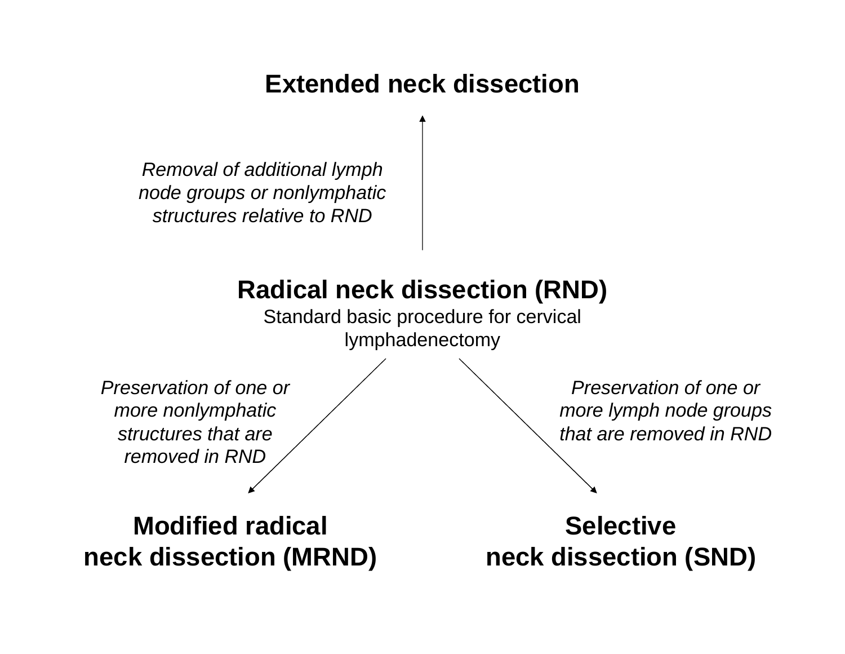# **Extended neck dissection**

*Removal of additional lymph node groups or nonlymphatic structures relative to RND*

# **Radical neck dissection (RND)**

Standard basic procedure for cervical lymphadenectomy

*Preservation of one or more nonlymphatic structures that are removed in RND*

**Modified radical neck dissection (MRND)**

*Preservation of one or more lymph node groups that are removed in RND*

**Selective neck dissection (SND)**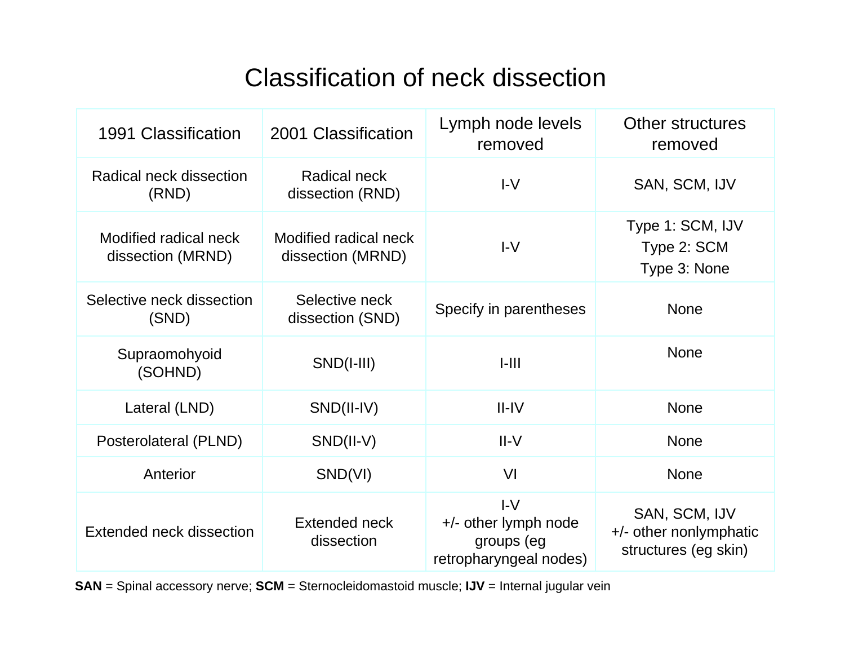# Classification of neck dissection

| 1991 Classification                        | 2001 Classification                        | Lymph node levels<br>removed                                          | Other structures<br>removed                                     |  |
|--------------------------------------------|--------------------------------------------|-----------------------------------------------------------------------|-----------------------------------------------------------------|--|
| Radical neck dissection<br>(RND)           | Radical neck<br>dissection (RND)           | $I-V$                                                                 | SAN, SCM, IJV                                                   |  |
| Modified radical neck<br>dissection (MRND) | Modified radical neck<br>dissection (MRND) | $I-V$                                                                 | Type 1: SCM, IJV<br>Type 2: SCM<br>Type 3: None                 |  |
| Selective neck dissection<br>(SND)         | Selective neck<br>dissection (SND)         | Specify in parentheses                                                | <b>None</b>                                                     |  |
| Supraomohyoid<br>(SOHND)                   | $SND(I-III)$                               | $1 - 111$                                                             | <b>None</b>                                                     |  |
| Lateral (LND)                              | SND(II-IV)                                 | $II$ -IV                                                              | <b>None</b>                                                     |  |
| Posterolateral (PLND)                      | $SND(II-V)$                                | $II-V$                                                                | <b>None</b>                                                     |  |
| Anterior                                   | SND(VI)                                    | VI                                                                    | <b>None</b>                                                     |  |
| Extended neck dissection                   | Extended neck<br>dissection                | $I-V$<br>+/- other lymph node<br>groups (eg<br>retropharyngeal nodes) | SAN, SCM, IJV<br>+/- other nonlymphatic<br>structures (eg skin) |  |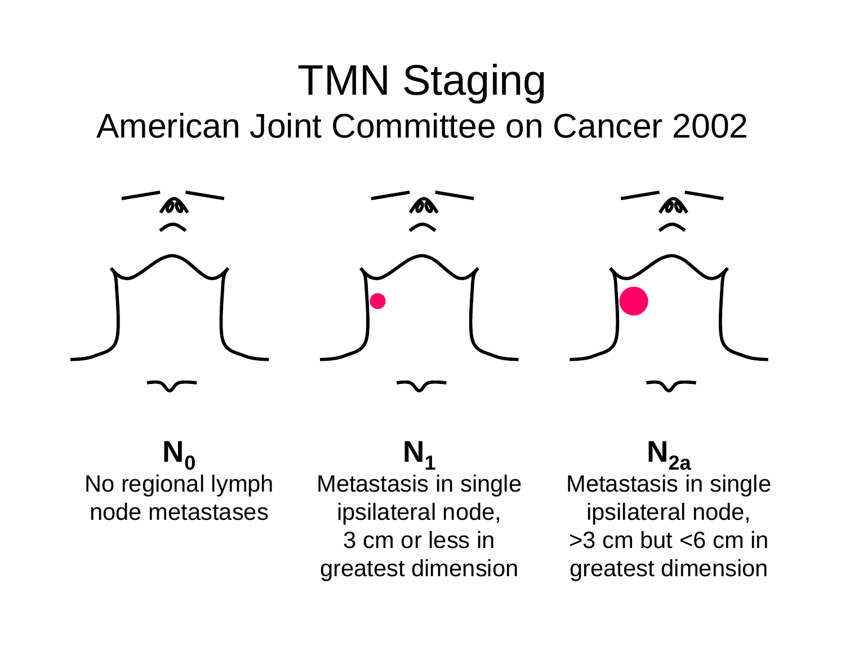# TMN Staging American Joint Committee on Cancer 2002



 $N_0$ No regional lymph node metastases

**N1**Metastasis in single ipsilateral node, 3 cm or less in greatest dimension

 $N_{2a}$ Metastasis in single ipsilateral node,  $>3$  cm but  $<6$  cm in greatest dimension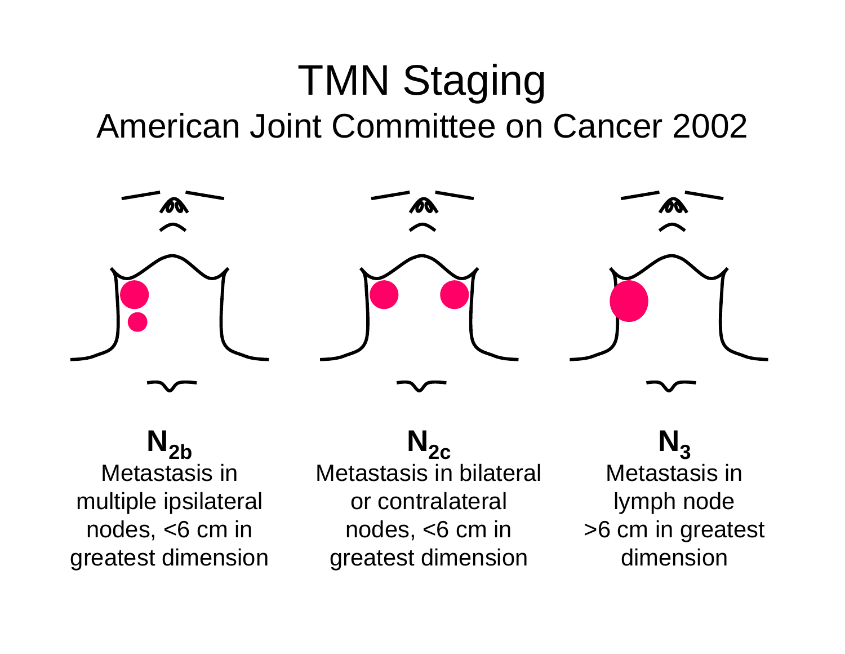# TMN Staging American Joint Committee on Cancer 2002



 $N_{2b}$ Metastasis in multiple ipsilateral nodes, <6 cm in greatest dimension

 $N_{2c}$ Metastasis in bilateral or contralateral nodes, <6 cm in greatest dimension

 $N<sub>3</sub>$ Metastasis in lymph node >6 cm in greatest dimension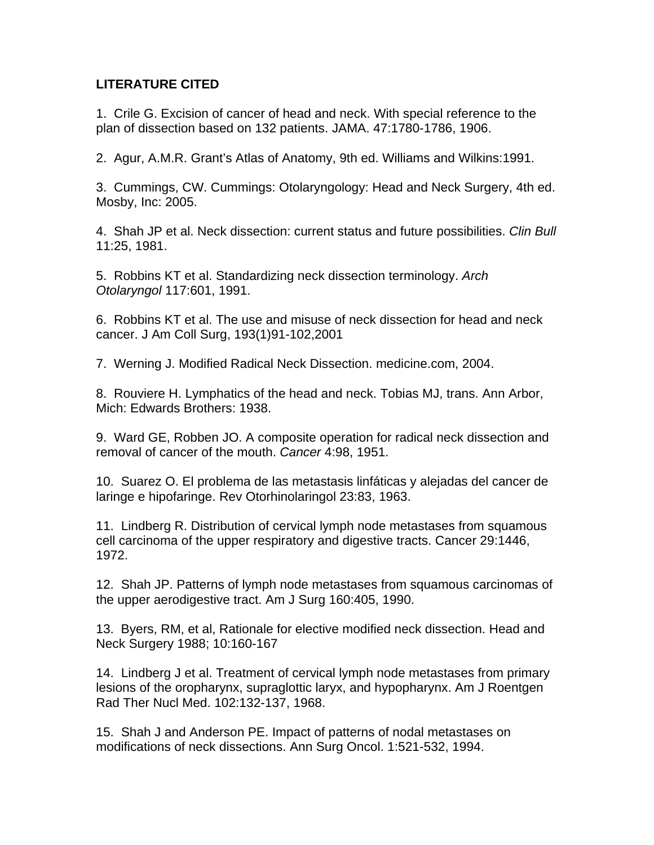### **LITERATURE CITED**

1. Crile G. Excision of cancer of head and neck. With special reference to the plan of dissection based on 132 patients. JAMA. 47:1780-1786, 1906.

2. Agur, A.M.R. Grant's Atlas of Anatomy, 9th ed. Williams and Wilkins:1991.

3. Cummings, CW. Cummings: Otolaryngology: Head and Neck Surgery, 4th ed. Mosby, Inc: 2005.

4. Shah JP et al. Neck dissection: current status and future possibilities. *Clin Bull* 11:25, 1981.

5. Robbins KT et al. Standardizing neck dissection terminology. *Arch Otolaryngol* 117:601, 1991.

6. Robbins KT et al. The use and misuse of neck dissection for head and neck cancer. J Am Coll Surg, 193(1)91-102,2001

7. Werning J. Modified Radical Neck Dissection. medicine.com, 2004.

8. Rouviere H. Lymphatics of the head and neck. Tobias MJ, trans. Ann Arbor, Mich: Edwards Brothers: 1938.

9. Ward GE, Robben JO. A composite operation for radical neck dissection and removal of cancer of the mouth. *Cancer* 4:98, 1951.

10. Suarez O. El problema de las metastasis linfáticas y alejadas del cancer de laringe e hipofaringe. Rev Otorhinolaringol 23:83, 1963.

11. Lindberg R. Distribution of cervical lymph node metastases from squamous cell carcinoma of the upper respiratory and digestive tracts. Cancer 29:1446, 1972.

12. Shah JP. Patterns of lymph node metastases from squamous carcinomas of the upper aerodigestive tract. Am J Surg 160:405, 1990.

13. Byers, RM, et al, Rationale for elective modified neck dissection. Head and Neck Surgery 1988; 10:160-167

14. Lindberg J et al. Treatment of cervical lymph node metastases from primary lesions of the oropharynx, supraglottic laryx, and hypopharynx. Am J Roentgen Rad Ther Nucl Med. 102:132-137, 1968.

15. Shah J and Anderson PE. Impact of patterns of nodal metastases on modifications of neck dissections. Ann Surg Oncol. 1:521-532, 1994.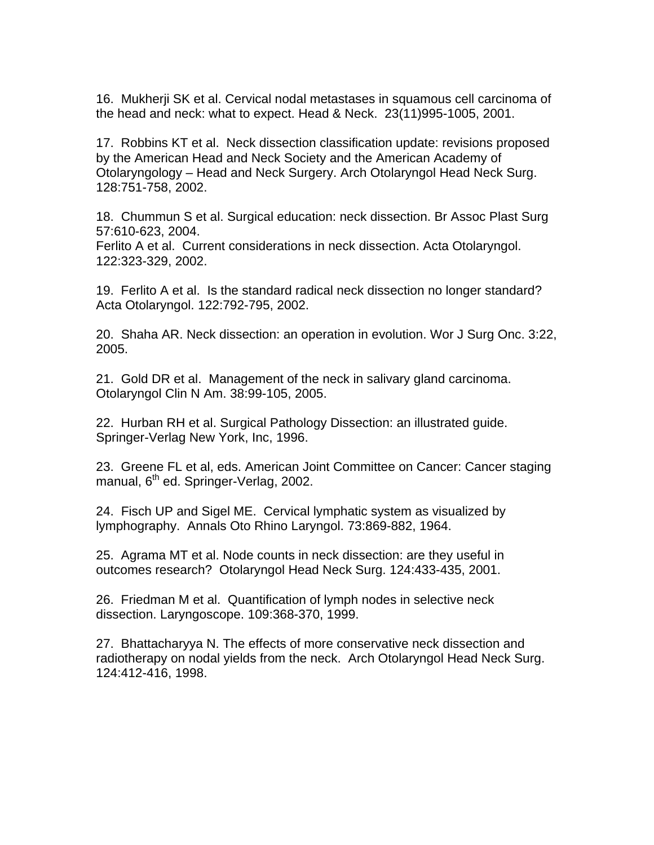16. Mukherji SK et al. Cervical nodal metastases in squamous cell carcinoma of the head and neck: what to expect. Head & Neck. 23(11)995-1005, 2001.

17. Robbins KT et al. Neck dissection classification update: revisions proposed by the American Head and Neck Society and the American Academy of Otolaryngology – Head and Neck Surgery. Arch Otolaryngol Head Neck Surg. 128:751-758, 2002.

18. Chummun S et al. Surgical education: neck dissection. Br Assoc Plast Surg 57:610-623, 2004.

Ferlito A et al. Current considerations in neck dissection. Acta Otolaryngol. 122:323-329, 2002.

19. Ferlito A et al. Is the standard radical neck dissection no longer standard? Acta Otolaryngol. 122:792-795, 2002.

20. Shaha AR. Neck dissection: an operation in evolution. Wor J Surg Onc. 3:22, 2005.

21. Gold DR et al. Management of the neck in salivary gland carcinoma. Otolaryngol Clin N Am. 38:99-105, 2005.

22. Hurban RH et al. Surgical Pathology Dissection: an illustrated guide. Springer-Verlag New York, Inc, 1996.

23. Greene FL et al, eds. American Joint Committee on Cancer: Cancer staging manual, 6<sup>th</sup> ed. Springer-Verlag, 2002.

24. Fisch UP and Sigel ME. Cervical lymphatic system as visualized by lymphography. Annals Oto Rhino Laryngol. 73:869-882, 1964.

25. Agrama MT et al. Node counts in neck dissection: are they useful in outcomes research? Otolaryngol Head Neck Surg. 124:433-435, 2001.

26. Friedman M et al. Quantification of lymph nodes in selective neck dissection. Laryngoscope. 109:368-370, 1999.

27. Bhattacharyya N. The effects of more conservative neck dissection and radiotherapy on nodal yields from the neck. Arch Otolaryngol Head Neck Surg. 124:412-416, 1998.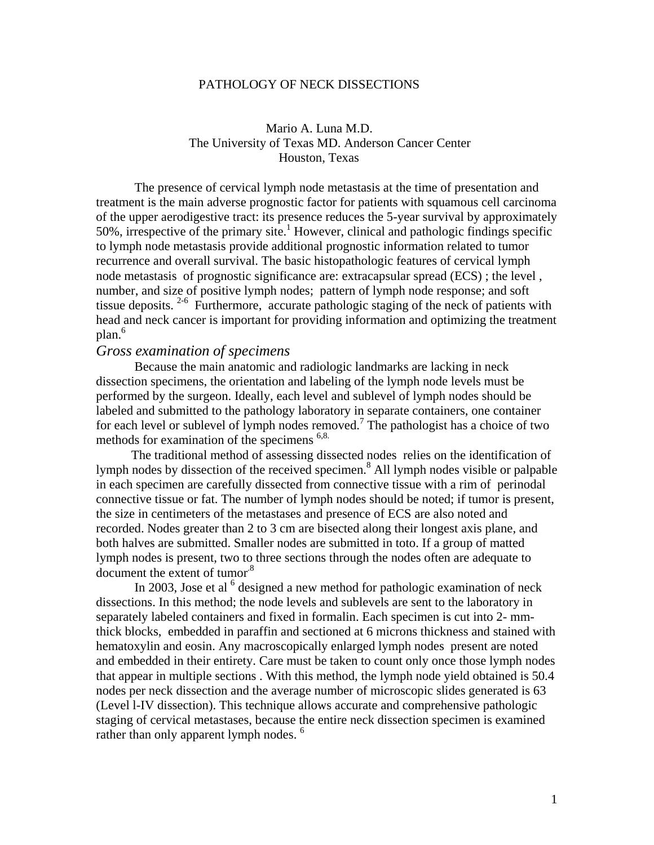#### PATHOLOGY OF NECK DISSECTIONS

#### Mario A. Luna M.D. The University of Texas MD. Anderson Cancer Center Houston, Texas

The presence of cervical lymph node metastasis at the time of presentation and treatment is the main adverse prognostic factor for patients with squamous cell carcinoma of the upper aerodigestive tract: its presence reduces the 5-year survival by approximately  $50\%$ , irrespective of the primary site.<sup>1</sup> However, clinical and pathologic findings specific to lymph node metastasis provide additional prognostic information related to tumor recurrence and overall survival. The basic histopathologic features of cervical lymph node metastasis of prognostic significance are: extracapsular spread (ECS) ; the level , number, and size of positive lymph nodes; pattern of lymph node response; and soft tissue deposits. 2-6 Furthermore, accurate pathologic staging of the neck of patients with head and neck cancer is important for providing information and optimizing the treatment plan.<sup>6</sup>

#### *Gross examination of specimens*

 Because the main anatomic and radiologic landmarks are lacking in neck dissection specimens, the orientation and labeling of the lymph node levels must be performed by the surgeon. Ideally, each level and sublevel of lymph nodes should be labeled and submitted to the pathology laboratory in separate containers, one container for each level or sublevel of lymph nodes removed.<sup>7</sup> The pathologist has a choice of two methods for examination of the specimens <sup>6,8.</sup>

 The traditional method of assessing dissected nodes relies on the identification of lymph nodes by dissection of the received specimen.<sup>8</sup> All lymph nodes visible or palpable in each specimen are carefully dissected from connective tissue with a rim of perinodal connective tissue or fat. The number of lymph nodes should be noted; if tumor is present, the size in centimeters of the metastases and presence of ECS are also noted and recorded. Nodes greater than 2 to 3 cm are bisected along their longest axis plane, and both halves are submitted. Smaller nodes are submitted in toto. If a group of matted lymph nodes is present, two to three sections through the nodes often are adequate to document the extent of tumor.<sup>8</sup>

In 2003, Jose et al  $6$  designed a new method for pathologic examination of neck dissections. In this method; the node levels and sublevels are sent to the laboratory in separately labeled containers and fixed in formalin. Each specimen is cut into 2- mmthick blocks, embedded in paraffin and sectioned at 6 microns thickness and stained with hematoxylin and eosin. Any macroscopically enlarged lymph nodes present are noted and embedded in their entirety. Care must be taken to count only once those lymph nodes that appear in multiple sections . With this method, the lymph node yield obtained is 50.4 nodes per neck dissection and the average number of microscopic slides generated is 63 (Level l-IV dissection). This technique allows accurate and comprehensive pathologic staging of cervical metastases, because the entire neck dissection specimen is examined rather than only apparent lymph nodes.<sup>6</sup>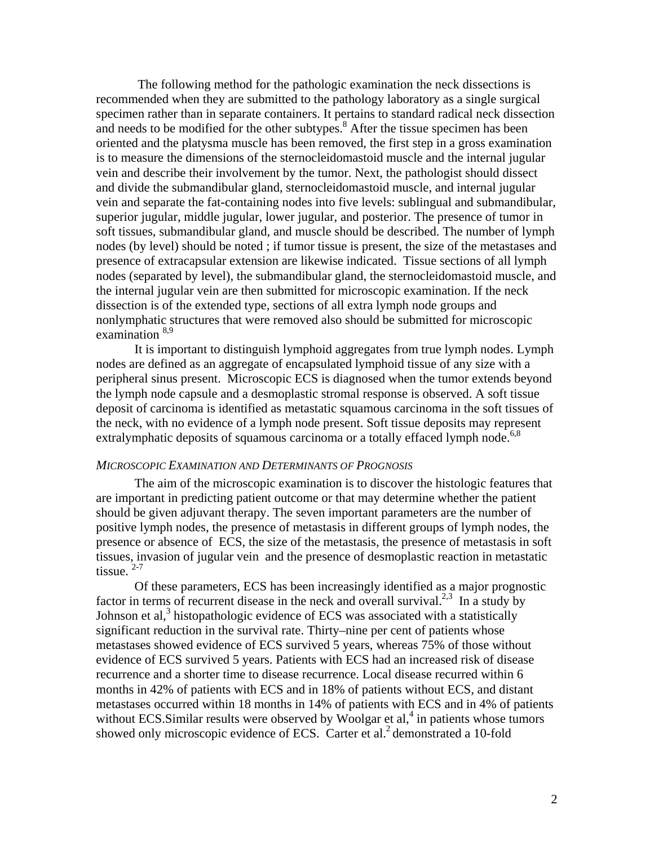The following method for the pathologic examination the neck dissections is recommended when they are submitted to the pathology laboratory as a single surgical specimen rather than in separate containers. It pertains to standard radical neck dissection and needs to be modified for the other subtypes.<sup>8</sup> After the tissue specimen has been oriented and the platysma muscle has been removed, the first step in a gross examination is to measure the dimensions of the sternocleidomastoid muscle and the internal jugular vein and describe their involvement by the tumor. Next, the pathologist should dissect and divide the submandibular gland, sternocleidomastoid muscle, and internal jugular vein and separate the fat-containing nodes into five levels: sublingual and submandibular, superior jugular, middle jugular, lower jugular, and posterior. The presence of tumor in soft tissues, submandibular gland, and muscle should be described. The number of lymph nodes (by level) should be noted ; if tumor tissue is present, the size of the metastases and presence of extracapsular extension are likewise indicated. Tissue sections of all lymph nodes (separated by level), the submandibular gland, the sternocleidomastoid muscle, and the internal jugular vein are then submitted for microscopic examination. If the neck dissection is of the extended type, sections of all extra lymph node groups and nonlymphatic structures that were removed also should be submitted for microscopic examination  $8,9$ 

It is important to distinguish lymphoid aggregates from true lymph nodes. Lymph nodes are defined as an aggregate of encapsulated lymphoid tissue of any size with a peripheral sinus present. Microscopic ECS is diagnosed when the tumor extends beyond the lymph node capsule and a desmoplastic stromal response is observed. A soft tissue deposit of carcinoma is identified as metastatic squamous carcinoma in the soft tissues of the neck, with no evidence of a lymph node present. Soft tissue deposits may represent extralymphatic deposits of squamous carcinoma or a totally effaced lymph node.<sup>6,8</sup>

#### *MICROSCOPIC EXAMINATION AND DETERMINANTS OF PROGNOSIS*

The aim of the microscopic examination is to discover the histologic features that are important in predicting patient outcome or that may determine whether the patient should be given adjuvant therapy. The seven important parameters are the number of positive lymph nodes, the presence of metastasis in different groups of lymph nodes, the presence or absence of ECS, the size of the metastasis, the presence of metastasis in soft tissues, invasion of jugular vein and the presence of desmoplastic reaction in metastatic tissue.<sup>2-7</sup>

Of these parameters, ECS has been increasingly identified as a major prognostic factor in terms of recurrent disease in the neck and overall survival.<sup>2,3</sup> In a study by Johnson et al,<sup>3</sup> histopathologic evidence of ECS was associated with a statistically significant reduction in the survival rate. Thirty–nine per cent of patients whose metastases showed evidence of ECS survived 5 years, whereas 75% of those without evidence of ECS survived 5 years. Patients with ECS had an increased risk of disease recurrence and a shorter time to disease recurrence. Local disease recurred within 6 months in 42% of patients with ECS and in 18% of patients without ECS, and distant metastases occurred within 18 months in 14% of patients with ECS and in 4% of patients without ECS. Similar results were observed by Woolgar et al,<sup>4</sup> in patients whose tumors showed only microscopic evidence of ECS. Carter et al.<sup>2</sup> demonstrated a 10-fold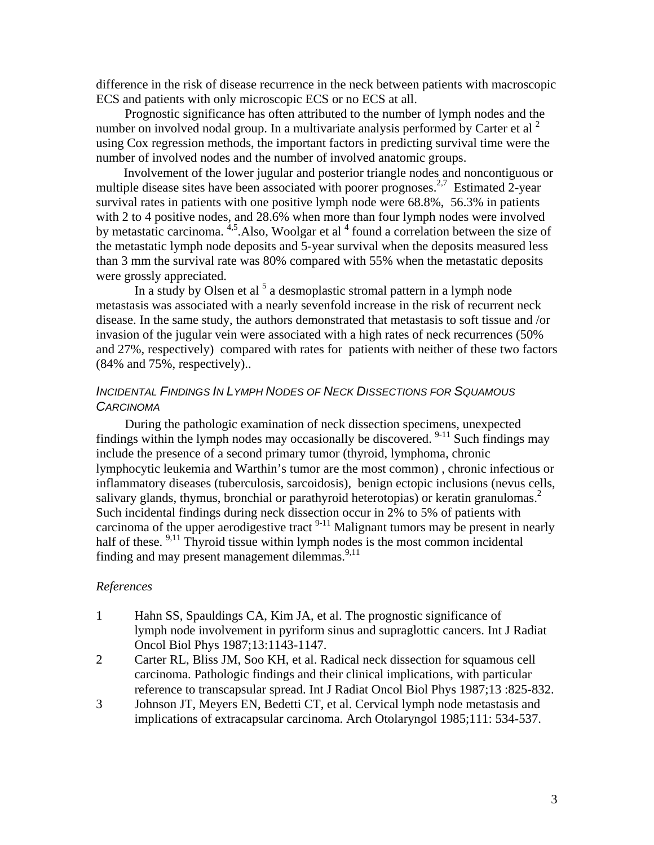difference in the risk of disease recurrence in the neck between patients with macroscopic ECS and patients with only microscopic ECS or no ECS at all.

 Prognostic significance has often attributed to the number of lymph nodes and the number on involved nodal group. In a multivariate analysis performed by Carter et al  $^2$ using Cox regression methods, the important factors in predicting survival time were the number of involved nodes and the number of involved anatomic groups.

 Involvement of the lower jugular and posterior triangle nodes and noncontiguous or multiple disease sites have been associated with poorer prognoses.<sup>2,7</sup> Estimated 2-year survival rates in patients with one positive lymph node were 68.8%, 56.3% in patients with 2 to 4 positive nodes, and 28.6% when more than four lymph nodes were involved by metastatic carcinoma.  $4.5$  Also, Woolgar et al  $4$  found a correlation between the size of the metastatic lymph node deposits and 5-year survival when the deposits measured less than 3 mm the survival rate was 80% compared with 55% when the metastatic deposits were grossly appreciated.

In a study by Olsen et al  $<sup>5</sup>$  a desmoplastic stromal pattern in a lymph node</sup> metastasis was associated with a nearly sevenfold increase in the risk of recurrent neck disease. In the same study, the authors demonstrated that metastasis to soft tissue and /or invasion of the jugular vein were associated with a high rates of neck recurrences (50% and 27%, respectively) compared with rates for patients with neither of these two factors (84% and 75%, respectively)..

#### *INCIDENTAL FINDINGS IN LYMPH NODES OF NECK DISSECTIONS FOR SQUAMOUS CARCINOMA*

 During the pathologic examination of neck dissection specimens, unexpected findings within the lymph nodes may occasionally be discovered.  $9-11$  Such findings may include the presence of a second primary tumor (thyroid, lymphoma, chronic lymphocytic leukemia and Warthin's tumor are the most common) , chronic infectious or inflammatory diseases (tuberculosis, sarcoidosis), benign ectopic inclusions (nevus cells, salivary glands, thymus, bronchial or parathyroid heterotopias) or keratin granulomas.<sup>2</sup> Such incidental findings during neck dissection occur in 2% to 5% of patients with carcinoma of the upper aerodigestive tract  $9-11$  Malignant tumors may be present in nearly half of these. <sup>9,11</sup> Thyroid tissue within lymph nodes is the most common incidental finding and may present management dilemmas.  $9,11$ 

#### *References*

- 1 Hahn SS, Spauldings CA, Kim JA, et al. The prognostic significance of lymph node involvement in pyriform sinus and supraglottic cancers. Int J Radiat Oncol Biol Phys 1987;13:1143-1147.
- 2 Carter RL, Bliss JM, Soo KH, et al. Radical neck dissection for squamous cell carcinoma. Pathologic findings and their clinical implications, with particular reference to transcapsular spread. Int J Radiat Oncol Biol Phys 1987;13 :825-832.
- 3 Johnson JT, Meyers EN, Bedetti CT, et al. Cervical lymph node metastasis and implications of extracapsular carcinoma. Arch Otolaryngol 1985;111: 534-537.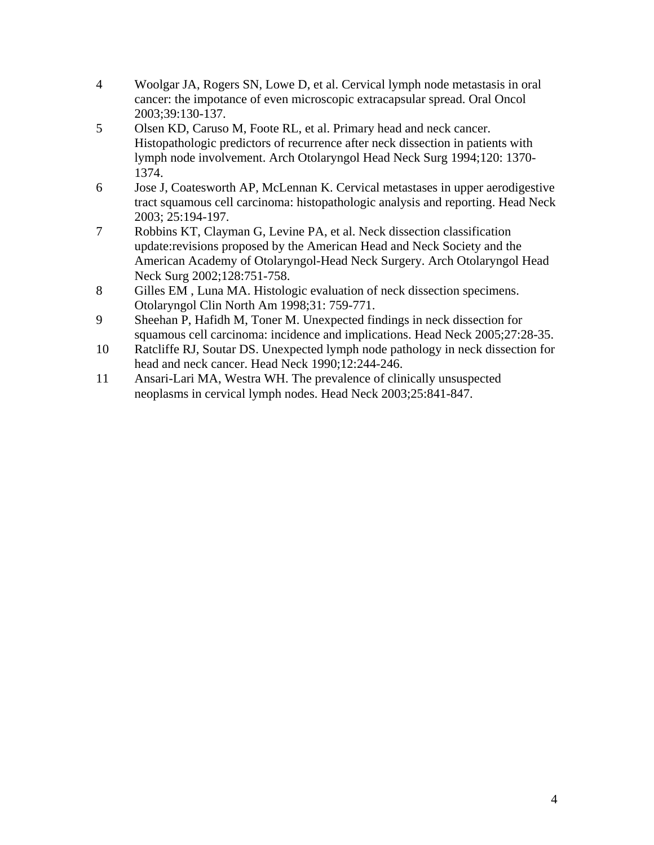- 4 Woolgar JA, Rogers SN, Lowe D, et al. Cervical lymph node metastasis in oral cancer: the impotance of even microscopic extracapsular spread. Oral Oncol 2003;39:130-137.
- 5 Olsen KD, Caruso M, Foote RL, et al. Primary head and neck cancer. Histopathologic predictors of recurrence after neck dissection in patients with lymph node involvement. Arch Otolaryngol Head Neck Surg 1994;120: 1370- 1374.
- 6 Jose J, Coatesworth AP, McLennan K. Cervical metastases in upper aerodigestive tract squamous cell carcinoma: histopathologic analysis and reporting. Head Neck 2003; 25:194-197.
- 7 Robbins KT, Clayman G, Levine PA, et al. Neck dissection classification update:revisions proposed by the American Head and Neck Society and the American Academy of Otolaryngol-Head Neck Surgery. Arch Otolaryngol Head Neck Surg 2002;128:751-758.
- 8 Gilles EM , Luna MA. Histologic evaluation of neck dissection specimens. Otolaryngol Clin North Am 1998;31: 759-771.
- 9 Sheehan P, Hafidh M, Toner M. Unexpected findings in neck dissection for squamous cell carcinoma: incidence and implications. Head Neck 2005;27:28-35.
- 10 Ratcliffe RJ, Soutar DS. Unexpected lymph node pathology in neck dissection for head and neck cancer. Head Neck 1990;12:244-246.
- 11 Ansari-Lari MA, Westra WH. The prevalence of clinically unsuspected neoplasms in cervical lymph nodes. Head Neck 2003;25:841-847.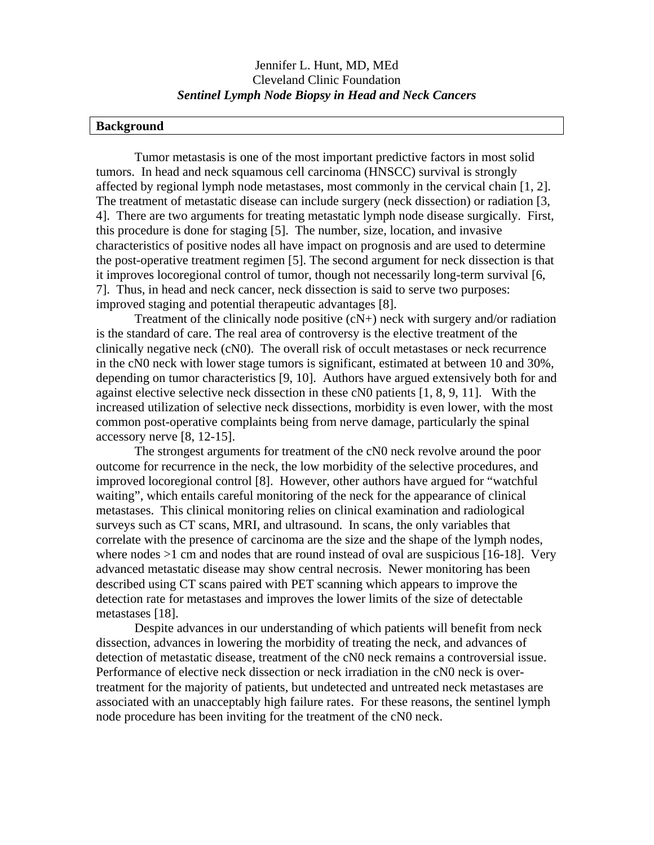#### **Background**

 Tumor metastasis is one of the most important predictive factors in most solid tumors. In head and neck squamous cell carcinoma (HNSCC) survival is strongly affected by regional lymph node metastases, most commonly in the cervical chain [1, 2]. The treatment of metastatic disease can include surgery (neck dissection) or radiation [3, 4]. There are two arguments for treating metastatic lymph node disease surgically. First, this procedure is done for staging [5]. The number, size, location, and invasive characteristics of positive nodes all have impact on prognosis and are used to determine the post-operative treatment regimen [5]. The second argument for neck dissection is that it improves locoregional control of tumor, though not necessarily long-term survival [6, 7]. Thus, in head and neck cancer, neck dissection is said to serve two purposes: improved staging and potential therapeutic advantages [8].

Treatment of the clinically node positive (cN+) neck with surgery and/or radiation is the standard of care. The real area of controversy is the elective treatment of the clinically negative neck (cN0). The overall risk of occult metastases or neck recurrence in the cN0 neck with lower stage tumors is significant, estimated at between 10 and 30%, depending on tumor characteristics [9, 10]. Authors have argued extensively both for and against elective selective neck dissection in these cN0 patients [1, 8, 9, 11]. With the increased utilization of selective neck dissections, morbidity is even lower, with the most common post-operative complaints being from nerve damage, particularly the spinal accessory nerve [8, 12-15].

 The strongest arguments for treatment of the cN0 neck revolve around the poor outcome for recurrence in the neck, the low morbidity of the selective procedures, and improved locoregional control [8]. However, other authors have argued for "watchful waiting", which entails careful monitoring of the neck for the appearance of clinical metastases. This clinical monitoring relies on clinical examination and radiological surveys such as CT scans, MRI, and ultrasound. In scans, the only variables that correlate with the presence of carcinoma are the size and the shape of the lymph nodes, where nodes  $>1$  cm and nodes that are round instead of oval are suspicious [16-18]. Very advanced metastatic disease may show central necrosis. Newer monitoring has been described using CT scans paired with PET scanning which appears to improve the detection rate for metastases and improves the lower limits of the size of detectable metastases [18].

 Despite advances in our understanding of which patients will benefit from neck dissection, advances in lowering the morbidity of treating the neck, and advances of detection of metastatic disease, treatment of the cN0 neck remains a controversial issue. Performance of elective neck dissection or neck irradiation in the cN0 neck is overtreatment for the majority of patients, but undetected and untreated neck metastases are associated with an unacceptably high failure rates. For these reasons, the sentinel lymph node procedure has been inviting for the treatment of the cN0 neck.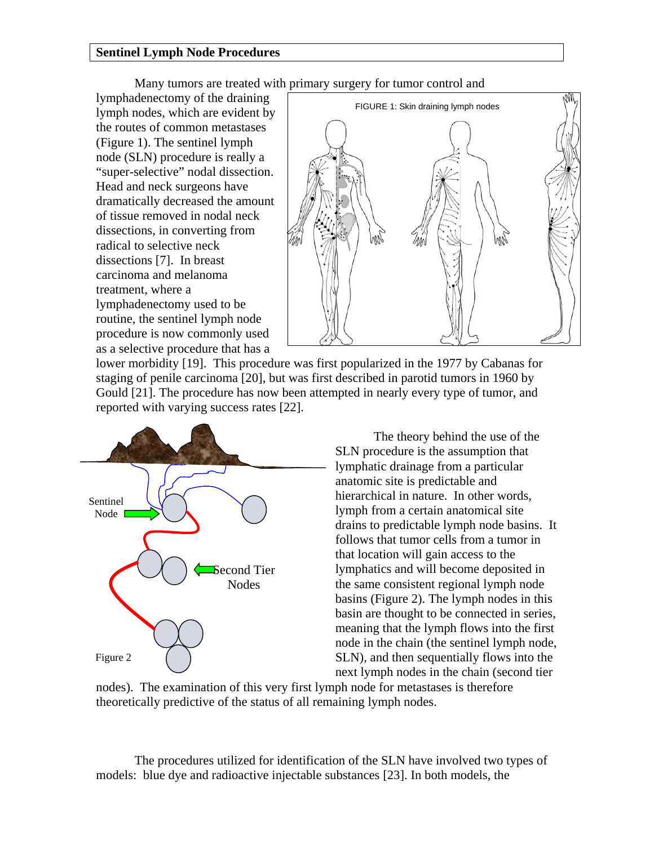#### **Sentinel Lymph Node Procedures**

Many tumors are treated with primary surgery for tumor control and

lymphadenectomy of the draining lymph nodes, which are evident by the routes of common metastases (Figure 1). The sentinel lymph node (SLN) procedure is really a "super-selective" nodal dissection. Head and neck surgeons have dramatically decreased the amount of tissue removed in nodal neck dissections, in converting from radical to selective neck dissections [7]. In breast carcinoma and melanoma treatment, where a lymphadenectomy used to be routine, the sentinel lymph node procedure is now commonly used as a selective procedure that has a



lower morbidity [19]. This procedure was first popularized in the 1977 by Cabanas for staging of penile carcinoma [20], but was first described in parotid tumors in 1960 by Gould [21]. The procedure has now been attempted in nearly every type of tumor, and reported with varying success rates [22].



The theory behind the use of the SLN procedure is the assumption that lymphatic drainage from a particular anatomic site is predictable and hierarchical in nature. In other words, lymph from a certain anatomical site drains to predictable lymph node basins. It follows that tumor cells from a tumor in that location will gain access to the lymphatics and will become deposited in the same consistent regional lymph node basins (Figure 2). The lymph nodes in this basin are thought to be connected in series, meaning that the lymph flows into the first node in the chain (the sentinel lymph node, SLN), and then sequentially flows into the next lymph nodes in the chain (second tier

nodes). The examination of this very first lymph node for metastases is therefore theoretically predictive of the status of all remaining lymph nodes.

The procedures utilized for identification of the SLN have involved two types of models: blue dye and radioactive injectable substances [23]. In both models, the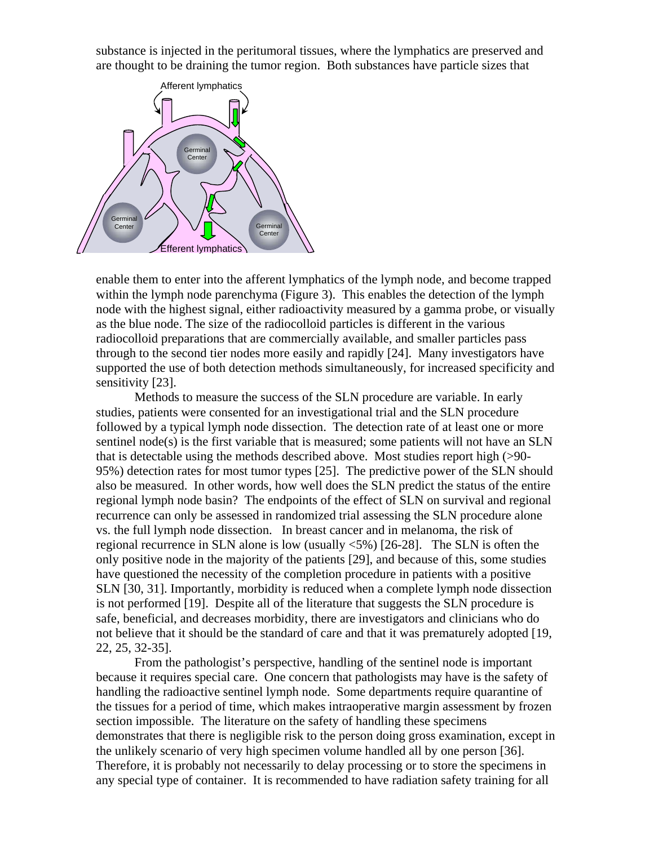substance is injected in the peritumoral tissues, where the lymphatics are preserved and are thought to be draining the tumor region. Both substances have particle sizes that



enable them to enter into the afferent lymphatics of the lymph node, and become trapped within the lymph node parenchyma (Figure 3). This enables the detection of the lymph node with the highest signal, either radioactivity measured by a gamma probe, or visually as the blue node. The size of the radiocolloid particles is different in the various radiocolloid preparations that are commercially available, and smaller particles pass through to the second tier nodes more easily and rapidly [24]. Many investigators have supported the use of both detection methods simultaneously, for increased specificity and sensitivity [23].

Methods to measure the success of the SLN procedure are variable. In early studies, patients were consented for an investigational trial and the SLN procedure followed by a typical lymph node dissection. The detection rate of at least one or more sentinel node(s) is the first variable that is measured; some patients will not have an SLN that is detectable using the methods described above. Most studies report high (>90- 95%) detection rates for most tumor types [25]. The predictive power of the SLN should also be measured. In other words, how well does the SLN predict the status of the entire regional lymph node basin? The endpoints of the effect of SLN on survival and regional recurrence can only be assessed in randomized trial assessing the SLN procedure alone vs. the full lymph node dissection. In breast cancer and in melanoma, the risk of regional recurrence in SLN alone is low (usually <5%) [26-28]. The SLN is often the only positive node in the majority of the patients [29], and because of this, some studies have questioned the necessity of the completion procedure in patients with a positive SLN [30, 31]. Importantly, morbidity is reduced when a complete lymph node dissection is not performed [19]. Despite all of the literature that suggests the SLN procedure is safe, beneficial, and decreases morbidity, there are investigators and clinicians who do not believe that it should be the standard of care and that it was prematurely adopted [19, 22, 25, 32-35].

From the pathologist's perspective, handling of the sentinel node is important because it requires special care. One concern that pathologists may have is the safety of handling the radioactive sentinel lymph node. Some departments require quarantine of the tissues for a period of time, which makes intraoperative margin assessment by frozen section impossible. The literature on the safety of handling these specimens demonstrates that there is negligible risk to the person doing gross examination, except in the unlikely scenario of very high specimen volume handled all by one person [36]. Therefore, it is probably not necessarily to delay processing or to store the specimens in any special type of container. It is recommended to have radiation safety training for all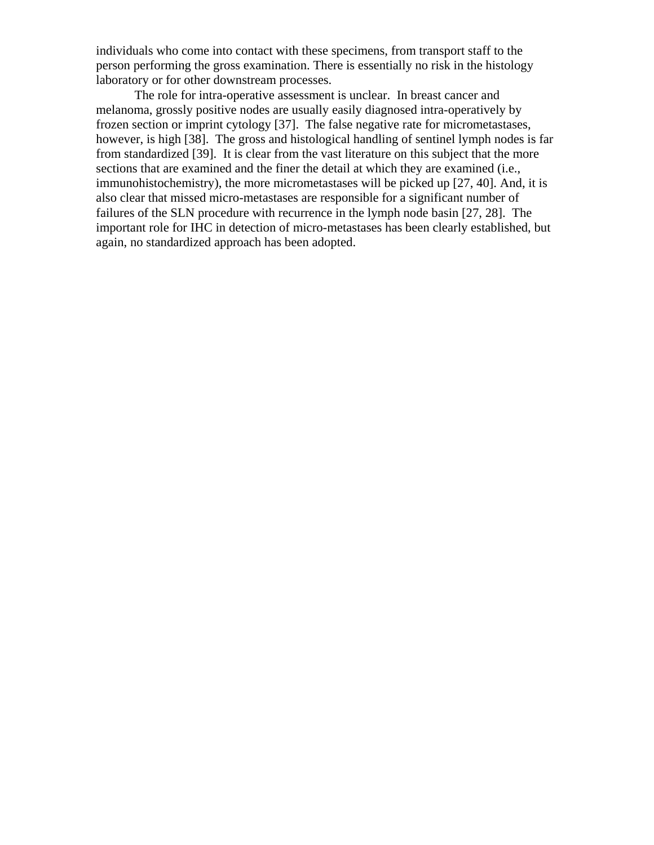individuals who come into contact with these specimens, from transport staff to the person performing the gross examination. There is essentially no risk in the histology laboratory or for other downstream processes.

The role for intra-operative assessment is unclear. In breast cancer and melanoma, grossly positive nodes are usually easily diagnosed intra-operatively by frozen section or imprint cytology [37]. The false negative rate for micrometastases, however, is high [38]. The gross and histological handling of sentinel lymph nodes is far from standardized [39]. It is clear from the vast literature on this subject that the more sections that are examined and the finer the detail at which they are examined (i.e., immunohistochemistry), the more micrometastases will be picked up [27, 40]. And, it is also clear that missed micro-metastases are responsible for a significant number of failures of the SLN procedure with recurrence in the lymph node basin [27, 28]. The important role for IHC in detection of micro-metastases has been clearly established, but again, no standardized approach has been adopted.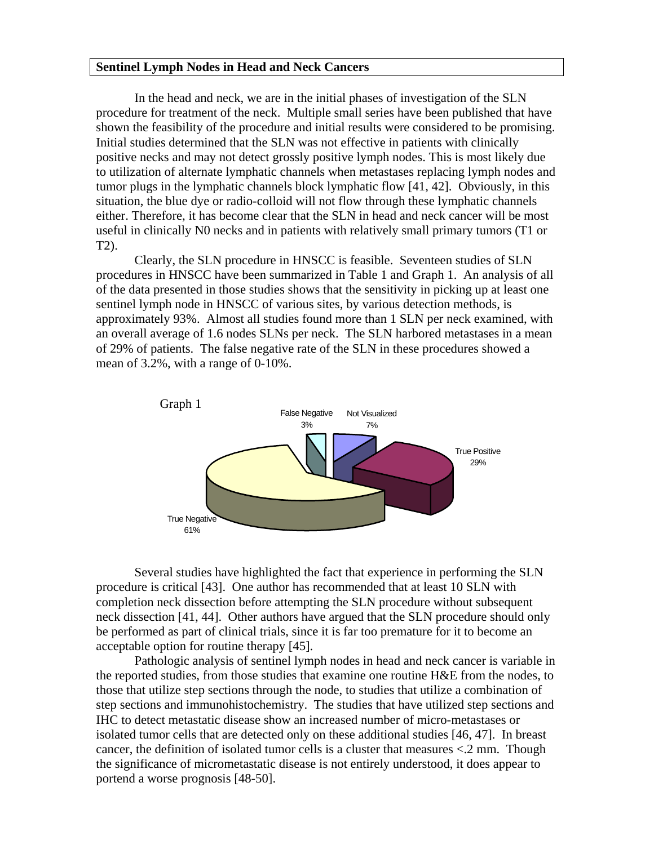#### **Sentinel Lymph Nodes in Head and Neck Cancers**

In the head and neck, we are in the initial phases of investigation of the SLN procedure for treatment of the neck. Multiple small series have been published that have shown the feasibility of the procedure and initial results were considered to be promising. Initial studies determined that the SLN was not effective in patients with clinically positive necks and may not detect grossly positive lymph nodes. This is most likely due to utilization of alternate lymphatic channels when metastases replacing lymph nodes and tumor plugs in the lymphatic channels block lymphatic flow [41, 42]. Obviously, in this situation, the blue dye or radio-colloid will not flow through these lymphatic channels either. Therefore, it has become clear that the SLN in head and neck cancer will be most useful in clinically N0 necks and in patients with relatively small primary tumors (T1 or T2).

 Clearly, the SLN procedure in HNSCC is feasible. Seventeen studies of SLN procedures in HNSCC have been summarized in Table 1 and Graph 1. An analysis of all of the data presented in those studies shows that the sensitivity in picking up at least one sentinel lymph node in HNSCC of various sites, by various detection methods, is approximately 93%. Almost all studies found more than 1 SLN per neck examined, with an overall average of 1.6 nodes SLNs per neck. The SLN harbored metastases in a mean of 29% of patients. The false negative rate of the SLN in these procedures showed a mean of 3.2%, with a range of 0-10%.



Several studies have highlighted the fact that experience in performing the SLN procedure is critical [43]. One author has recommended that at least 10 SLN with completion neck dissection before attempting the SLN procedure without subsequent neck dissection [41, 44]. Other authors have argued that the SLN procedure should only be performed as part of clinical trials, since it is far too premature for it to become an acceptable option for routine therapy [45].

 Pathologic analysis of sentinel lymph nodes in head and neck cancer is variable in the reported studies, from those studies that examine one routine H&E from the nodes, to those that utilize step sections through the node, to studies that utilize a combination of step sections and immunohistochemistry. The studies that have utilized step sections and IHC to detect metastatic disease show an increased number of micro-metastases or isolated tumor cells that are detected only on these additional studies [46, 47]. In breast cancer, the definition of isolated tumor cells is a cluster that measures <.2 mm. Though the significance of micrometastatic disease is not entirely understood, it does appear to portend a worse prognosis [48-50].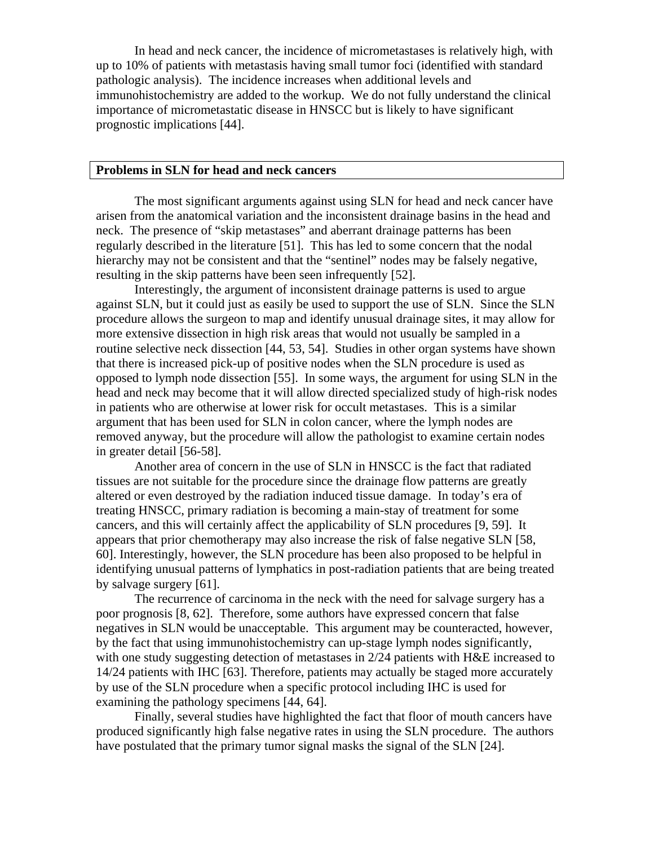In head and neck cancer, the incidence of micrometastases is relatively high, with up to 10% of patients with metastasis having small tumor foci (identified with standard pathologic analysis). The incidence increases when additional levels and immunohistochemistry are added to the workup. We do not fully understand the clinical importance of micrometastatic disease in HNSCC but is likely to have significant prognostic implications [44].

#### **Problems in SLN for head and neck cancers**

 The most significant arguments against using SLN for head and neck cancer have arisen from the anatomical variation and the inconsistent drainage basins in the head and neck. The presence of "skip metastases" and aberrant drainage patterns has been regularly described in the literature [51]. This has led to some concern that the nodal hierarchy may not be consistent and that the "sentinel" nodes may be falsely negative, resulting in the skip patterns have been seen infrequently [52].

Interestingly, the argument of inconsistent drainage patterns is used to argue against SLN, but it could just as easily be used to support the use of SLN. Since the SLN procedure allows the surgeon to map and identify unusual drainage sites, it may allow for more extensive dissection in high risk areas that would not usually be sampled in a routine selective neck dissection [44, 53, 54]. Studies in other organ systems have shown that there is increased pick-up of positive nodes when the SLN procedure is used as opposed to lymph node dissection [55]. In some ways, the argument for using SLN in the head and neck may become that it will allow directed specialized study of high-risk nodes in patients who are otherwise at lower risk for occult metastases. This is a similar argument that has been used for SLN in colon cancer, where the lymph nodes are removed anyway, but the procedure will allow the pathologist to examine certain nodes in greater detail [56-58].

 Another area of concern in the use of SLN in HNSCC is the fact that radiated tissues are not suitable for the procedure since the drainage flow patterns are greatly altered or even destroyed by the radiation induced tissue damage. In today's era of treating HNSCC, primary radiation is becoming a main-stay of treatment for some cancers, and this will certainly affect the applicability of SLN procedures [9, 59]. It appears that prior chemotherapy may also increase the risk of false negative SLN [58, 60]. Interestingly, however, the SLN procedure has been also proposed to be helpful in identifying unusual patterns of lymphatics in post-radiation patients that are being treated by salvage surgery [61].

 The recurrence of carcinoma in the neck with the need for salvage surgery has a poor prognosis [8, 62]. Therefore, some authors have expressed concern that false negatives in SLN would be unacceptable. This argument may be counteracted, however, by the fact that using immunohistochemistry can up-stage lymph nodes significantly, with one study suggesting detection of metastases in 2/24 patients with H&E increased to 14/24 patients with IHC [63]. Therefore, patients may actually be staged more accurately by use of the SLN procedure when a specific protocol including IHC is used for examining the pathology specimens [44, 64].

 Finally, several studies have highlighted the fact that floor of mouth cancers have produced significantly high false negative rates in using the SLN procedure. The authors have postulated that the primary tumor signal masks the signal of the SLN [24].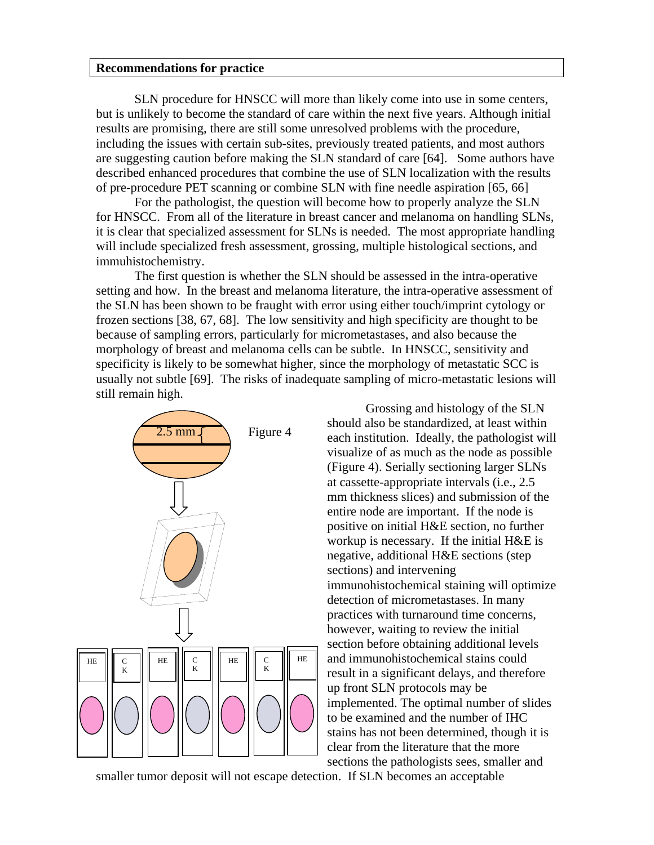#### **Recommendations for practice**

SLN procedure for HNSCC will more than likely come into use in some centers, but is unlikely to become the standard of care within the next five years. Although initial results are promising, there are still some unresolved problems with the procedure, including the issues with certain sub-sites, previously treated patients, and most authors are suggesting caution before making the SLN standard of care [64]. Some authors have described enhanced procedures that combine the use of SLN localization with the results of pre-procedure PET scanning or combine SLN with fine needle aspiration [65, 66]

For the pathologist, the question will become how to properly analyze the SLN for HNSCC. From all of the literature in breast cancer and melanoma on handling SLNs, it is clear that specialized assessment for SLNs is needed. The most appropriate handling will include specialized fresh assessment, grossing, multiple histological sections, and immuhistochemistry.

The first question is whether the SLN should be assessed in the intra-operative setting and how. In the breast and melanoma literature, the intra-operative assessment of the SLN has been shown to be fraught with error using either touch/imprint cytology or frozen sections [38, 67, 68]. The low sensitivity and high specificity are thought to be because of sampling errors, particularly for micrometastases, and also because the morphology of breast and melanoma cells can be subtle. In HNSCC, sensitivity and specificity is likely to be somewhat higher, since the morphology of metastatic SCC is usually not subtle [69]. The risks of inadequate sampling of micro-metastatic lesions will still remain high.



Grossing and histology of the SLN should also be standardized, at least within each institution. Ideally, the pathologist will visualize of as much as the node as possible (Figure 4). Serially sectioning larger SLNs at cassette-appropriate intervals (i.e., 2.5 mm thickness slices) and submission of the entire node are important. If the node is positive on initial H&E section, no further workup is necessary. If the initial H&E is negative, additional H&E sections (step sections) and intervening immunohistochemical staining will optimize detection of micrometastases. In many practices with turnaround time concerns, however, waiting to review the initial section before obtaining additional levels and immunohistochemical stains could result in a significant delays, and therefore up front SLN protocols may be implemented. The optimal number of slides to be examined and the number of IHC stains has not been determined, though it is clear from the literature that the more sections the pathologists sees, smaller and

smaller tumor deposit will not escape detection. If SLN becomes an acceptable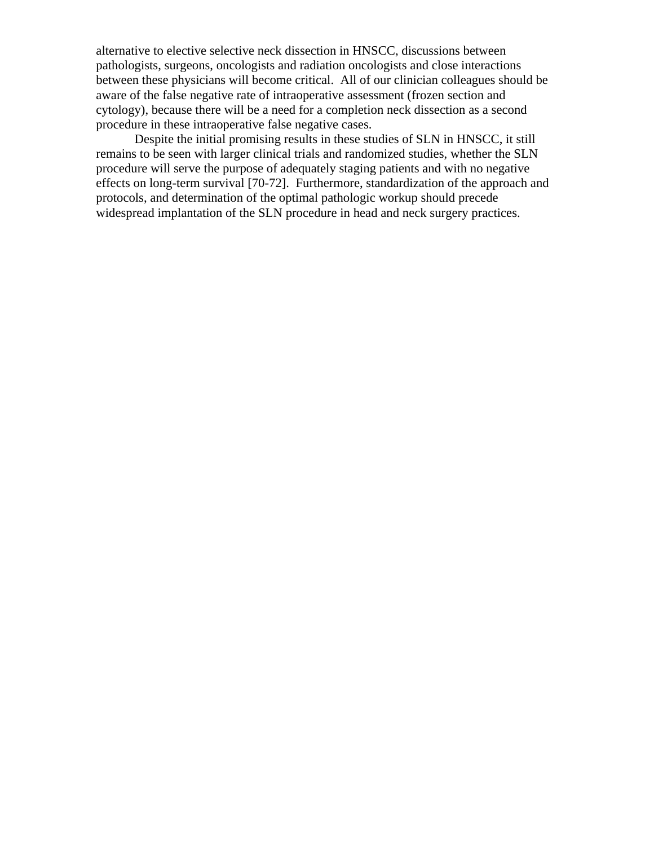alternative to elective selective neck dissection in HNSCC, discussions between pathologists, surgeons, oncologists and radiation oncologists and close interactions between these physicians will become critical. All of our clinician colleagues should be aware of the false negative rate of intraoperative assessment (frozen section and cytology), because there will be a need for a completion neck dissection as a second procedure in these intraoperative false negative cases.

Despite the initial promising results in these studies of SLN in HNSCC, it still remains to be seen with larger clinical trials and randomized studies, whether the SLN procedure will serve the purpose of adequately staging patients and with no negative effects on long-term survival [70-72]. Furthermore, standardization of the approach and protocols, and determination of the optimal pathologic workup should precede widespread implantation of the SLN procedure in head and neck surgery practices.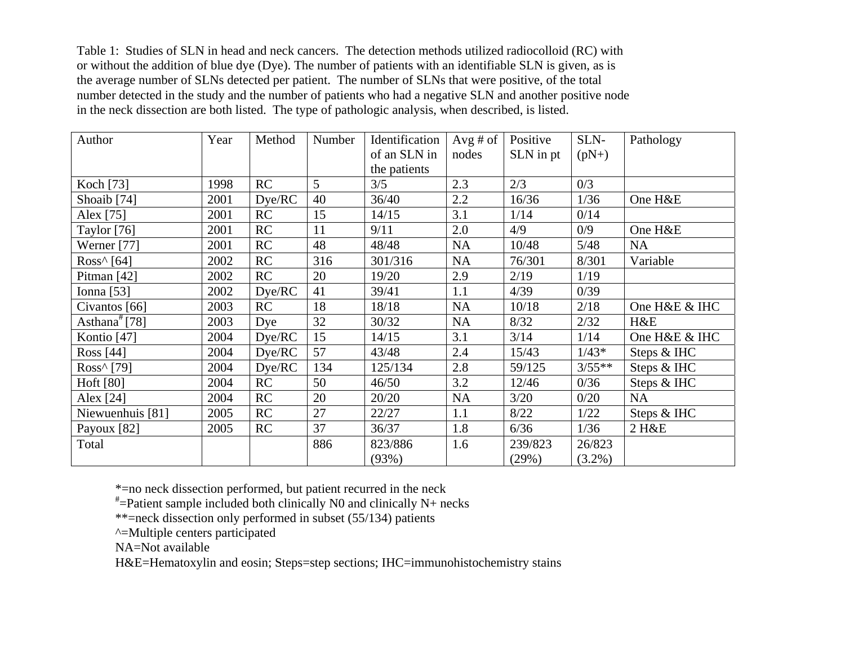Table 1: Studies of SLN in head and neck cancers. The detection methods utilized radiocolloid (RC) with or without the addition of blue dye (Dye). The number of patients with an identifiable SLN is given, as is the average number of SLNs detected per patient. The number of SLNs that were positive, of the total number detected in the study and the number of patients who had a negative SLN and another positive node in the neck dissection are both listed. The type of pathologic analysis, when described, is listed.

| Author                 | Year | Method | Number | Identification | Avg $#$ of | Positive  | SLN-      | Pathology     |
|------------------------|------|--------|--------|----------------|------------|-----------|-----------|---------------|
|                        |      |        |        | of an SLN in   | nodes      | SLN in pt | $(pN+)$   |               |
|                        |      |        |        | the patients   |            |           |           |               |
| Koch [73]              | 1998 | RC     | 5      | 3/5            | 2.3        | 2/3       | 0/3       |               |
| Shoaib <sup>[74]</sup> | 2001 | Dye/RC | 40     | 36/40          | $2.2\,$    | 16/36     | 1/36      | One H&E       |
| Alex [75]              | 2001 | RC     | 15     | 14/15          | 3.1        | 1/14      | 0/14      |               |
| Taylor $[76]$          | 2001 | RC     | 11     | 9/11           | 2.0        | 4/9       | 0/9       | One H&E       |
| Werner [77]            | 2001 | RC     | 48     | 48/48          | <b>NA</b>  | 10/48     | 5/48      | <b>NA</b>     |
| Ross $\wedge$ [64]     | 2002 | RC     | 316    | 301/316        | <b>NA</b>  | 76/301    | 8/301     | Variable      |
| Pitman $[42]$          | 2002 | RC     | 20     | 19/20          | 2.9        | 2/19      | 1/19      |               |
| Ionna $[53]$           | 2002 | Dye/RC | 41     | 39/41          | 1.1        | 4/39      | 0/39      |               |
| Civantos [66]          | 2003 | RC     | 18     | 18/18          | <b>NA</b>  | 10/18     | 2/18      | One H&E & IHC |
| Asthana $*$ [78]       | 2003 | Dye    | 32     | 30/32          | <b>NA</b>  | 8/32      | 2/32      | H&E           |
| Kontio <sup>[47]</sup> | 2004 | Dye/RC | 15     | 14/15          | 3.1        | 3/14      | 1/14      | One H&E & IHC |
| Ross [44]              | 2004 | Dye/RC | 57     | 43/48          | 2.4        | 15/43     | $1/43*$   | Steps & IHC   |
| Ross^ [79]             | 2004 | Dye/RC | 134    | 125/134        | 2.8        | 59/125    | $3/55**$  | Steps & IHC   |
| Hoft [80]              | 2004 | RC     | 50     | 46/50          | 3.2        | 12/46     | 0/36      | Steps & IHC   |
| Alex [24]              | 2004 | RC     | 20     | 20/20          | <b>NA</b>  | 3/20      | 0/20      | <b>NA</b>     |
| Niewuenhuis [81]       | 2005 | RC     | 27     | 22/27          | 1.1        | 8/22      | 1/22      | Steps & IHC   |
| Payoux [82]            | 2005 | RC     | 37     | 36/37          | 1.8        | 6/36      | 1/36      | 2 H&E         |
| Total                  |      |        | 886    | 823/886        | 1.6        | 239/823   | 26/823    |               |
|                        |      |        |        | (93%)          |            | (29%)     | $(3.2\%)$ |               |

\*=no neck dissection performed, but patient recurred in the neck

 $*$ =Patient sample included both clinically N0 and clinically N+ necks

\*\*=neck dissection only performed in subset (55/134) patients

^=Multiple centers participated

NA=Not available

H&E=Hematoxylin and eosin; Steps=step sections; IHC=immunohistochemistry stains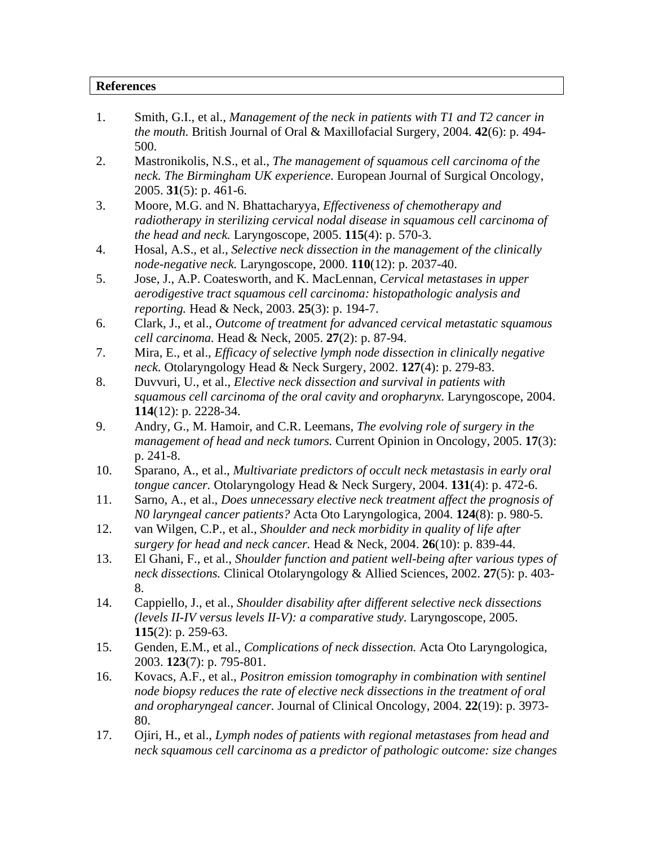#### **References**

- 1. Smith, G.I., et al., *Management of the neck in patients with T1 and T2 cancer in the mouth.* British Journal of Oral & Maxillofacial Surgery, 2004. **42**(6): p. 494- 500.
- 2. Mastronikolis, N.S., et al., *The management of squamous cell carcinoma of the neck. The Birmingham UK experience.* European Journal of Surgical Oncology, 2005. **31**(5): p. 461-6.
- 3. Moore, M.G. and N. Bhattacharyya, *Effectiveness of chemotherapy and radiotherapy in sterilizing cervical nodal disease in squamous cell carcinoma of the head and neck.* Laryngoscope, 2005. **115**(4): p. 570-3.
- 4. Hosal, A.S., et al., *Selective neck dissection in the management of the clinically node-negative neck.* Laryngoscope, 2000. **110**(12): p. 2037-40.
- 5. Jose, J., A.P. Coatesworth, and K. MacLennan, *Cervical metastases in upper aerodigestive tract squamous cell carcinoma: histopathologic analysis and reporting.* Head & Neck, 2003. **25**(3): p. 194-7.
- 6. Clark, J., et al., *Outcome of treatment for advanced cervical metastatic squamous cell carcinoma.* Head & Neck, 2005. **27**(2): p. 87-94.
- 7. Mira, E., et al., *Efficacy of selective lymph node dissection in clinically negative neck.* Otolaryngology Head & Neck Surgery, 2002. **127**(4): p. 279-83.
- 8. Duvvuri, U., et al., *Elective neck dissection and survival in patients with squamous cell carcinoma of the oral cavity and oropharynx.* Laryngoscope, 2004. **114**(12): p. 2228-34.
- 9. Andry, G., M. Hamoir, and C.R. Leemans, *The evolving role of surgery in the management of head and neck tumors.* Current Opinion in Oncology, 2005. **17**(3): p. 241-8.
- 10. Sparano, A., et al., *Multivariate predictors of occult neck metastasis in early oral tongue cancer.* Otolaryngology Head & Neck Surgery, 2004. **131**(4): p. 472-6.
- 11. Sarno, A., et al., *Does unnecessary elective neck treatment affect the prognosis of N0 laryngeal cancer patients?* Acta Oto Laryngologica, 2004. **124**(8): p. 980-5.
- 12. van Wilgen, C.P., et al., *Shoulder and neck morbidity in quality of life after surgery for head and neck cancer.* Head & Neck, 2004. **26**(10): p. 839-44.
- 13. El Ghani, F., et al., *Shoulder function and patient well-being after various types of neck dissections.* Clinical Otolaryngology & Allied Sciences, 2002. **27**(5): p. 403- 8.
- 14. Cappiello, J., et al., *Shoulder disability after different selective neck dissections (levels II-IV versus levels II-V): a comparative study.* Laryngoscope, 2005. **115**(2): p. 259-63.
- 15. Genden, E.M., et al., *Complications of neck dissection.* Acta Oto Laryngologica, 2003. **123**(7): p. 795-801.
- 16. Kovacs, A.F., et al., *Positron emission tomography in combination with sentinel node biopsy reduces the rate of elective neck dissections in the treatment of oral and oropharyngeal cancer.* Journal of Clinical Oncology, 2004. **22**(19): p. 3973- 80.
- 17. Ojiri, H., et al., *Lymph nodes of patients with regional metastases from head and neck squamous cell carcinoma as a predictor of pathologic outcome: size changes*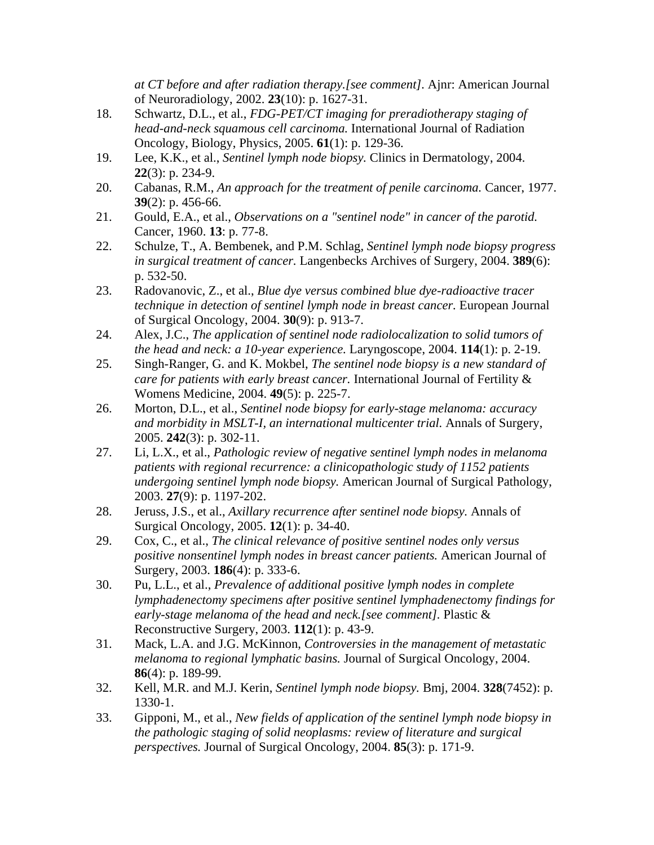*at CT before and after radiation therapy.[see comment].* Ajnr: American Journal of Neuroradiology, 2002. **23**(10): p. 1627-31.

- 18. Schwartz, D.L., et al., *FDG-PET/CT imaging for preradiotherapy staging of head-and-neck squamous cell carcinoma.* International Journal of Radiation Oncology, Biology, Physics, 2005. **61**(1): p. 129-36.
- 19. Lee, K.K., et al., *Sentinel lymph node biopsy.* Clinics in Dermatology, 2004. **22**(3): p. 234-9.
- 20. Cabanas, R.M., *An approach for the treatment of penile carcinoma.* Cancer, 1977. **39**(2): p. 456-66.
- 21. Gould, E.A., et al., *Observations on a "sentinel node" in cancer of the parotid.* Cancer, 1960. **13**: p. 77-8.
- 22. Schulze, T., A. Bembenek, and P.M. Schlag, *Sentinel lymph node biopsy progress in surgical treatment of cancer.* Langenbecks Archives of Surgery, 2004. **389**(6): p. 532-50.
- 23. Radovanovic, Z., et al., *Blue dye versus combined blue dye-radioactive tracer technique in detection of sentinel lymph node in breast cancer.* European Journal of Surgical Oncology, 2004. **30**(9): p. 913-7.
- 24. Alex, J.C., *The application of sentinel node radiolocalization to solid tumors of the head and neck: a 10-year experience.* Laryngoscope, 2004. **114**(1): p. 2-19.
- 25. Singh-Ranger, G. and K. Mokbel, *The sentinel node biopsy is a new standard of care for patients with early breast cancer.* International Journal of Fertility & Womens Medicine, 2004. **49**(5): p. 225-7.
- 26. Morton, D.L., et al., *Sentinel node biopsy for early-stage melanoma: accuracy and morbidity in MSLT-I, an international multicenter trial.* Annals of Surgery, 2005. **242**(3): p. 302-11.
- 27. Li, L.X., et al., *Pathologic review of negative sentinel lymph nodes in melanoma patients with regional recurrence: a clinicopathologic study of 1152 patients undergoing sentinel lymph node biopsy.* American Journal of Surgical Pathology, 2003. **27**(9): p. 1197-202.
- 28. Jeruss, J.S., et al., *Axillary recurrence after sentinel node biopsy.* Annals of Surgical Oncology, 2005. **12**(1): p. 34-40.
- 29. Cox, C., et al., *The clinical relevance of positive sentinel nodes only versus positive nonsentinel lymph nodes in breast cancer patients.* American Journal of Surgery, 2003. **186**(4): p. 333-6.
- 30. Pu, L.L., et al., *Prevalence of additional positive lymph nodes in complete lymphadenectomy specimens after positive sentinel lymphadenectomy findings for early-stage melanoma of the head and neck.[see comment].* Plastic & Reconstructive Surgery, 2003. **112**(1): p. 43-9.
- 31. Mack, L.A. and J.G. McKinnon, *Controversies in the management of metastatic melanoma to regional lymphatic basins.* Journal of Surgical Oncology, 2004. **86**(4): p. 189-99.
- 32. Kell, M.R. and M.J. Kerin, *Sentinel lymph node biopsy.* Bmj, 2004. **328**(7452): p. 1330-1.
- 33. Gipponi, M., et al., *New fields of application of the sentinel lymph node biopsy in the pathologic staging of solid neoplasms: review of literature and surgical perspectives.* Journal of Surgical Oncology, 2004. **85**(3): p. 171-9.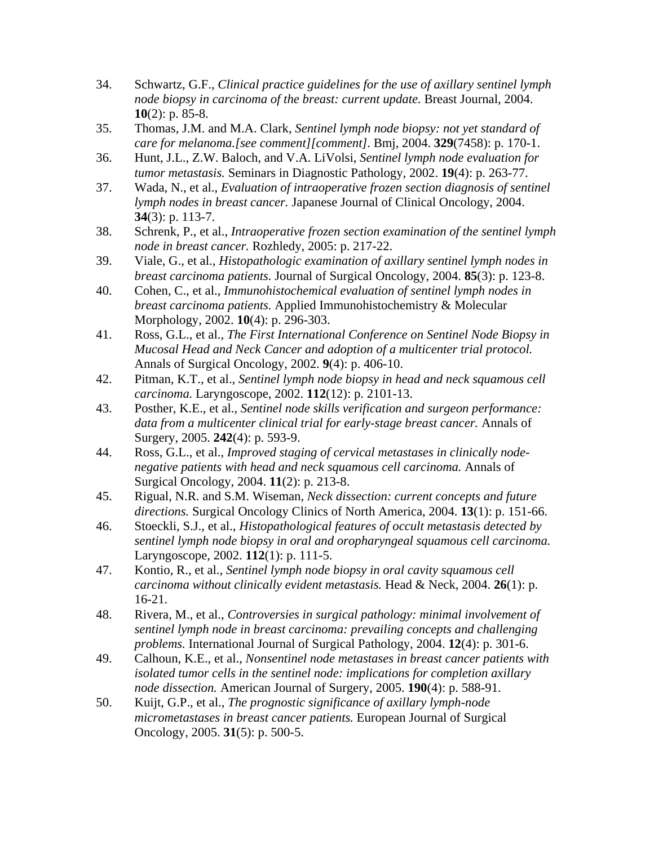- 34. Schwartz, G.F., *Clinical practice guidelines for the use of axillary sentinel lymph node biopsy in carcinoma of the breast: current update.* Breast Journal, 2004. **10**(2): p. 85-8.
- 35. Thomas, J.M. and M.A. Clark, *Sentinel lymph node biopsy: not yet standard of care for melanoma.[see comment][comment].* Bmj, 2004. **329**(7458): p. 170-1.
- 36. Hunt, J.L., Z.W. Baloch, and V.A. LiVolsi, *Sentinel lymph node evaluation for tumor metastasis.* Seminars in Diagnostic Pathology, 2002. **19**(4): p. 263-77.
- 37. Wada, N., et al., *Evaluation of intraoperative frozen section diagnosis of sentinel lymph nodes in breast cancer.* Japanese Journal of Clinical Oncology, 2004. **34**(3): p. 113-7.
- 38. Schrenk, P., et al., *Intraoperative frozen section examination of the sentinel lymph node in breast cancer.* Rozhledy, 2005: p. 217-22.
- 39. Viale, G., et al., *Histopathologic examination of axillary sentinel lymph nodes in breast carcinoma patients.* Journal of Surgical Oncology, 2004. **85**(3): p. 123-8.
- 40. Cohen, C., et al., *Immunohistochemical evaluation of sentinel lymph nodes in breast carcinoma patients.* Applied Immunohistochemistry & Molecular Morphology, 2002. **10**(4): p. 296-303.
- 41. Ross, G.L., et al., *The First International Conference on Sentinel Node Biopsy in Mucosal Head and Neck Cancer and adoption of a multicenter trial protocol.* Annals of Surgical Oncology, 2002. **9**(4): p. 406-10.
- 42. Pitman, K.T., et al., *Sentinel lymph node biopsy in head and neck squamous cell carcinoma.* Laryngoscope, 2002. **112**(12): p. 2101-13.
- 43. Posther, K.E., et al., *Sentinel node skills verification and surgeon performance: data from a multicenter clinical trial for early-stage breast cancer.* Annals of Surgery, 2005. **242**(4): p. 593-9.
- 44. Ross, G.L., et al., *Improved staging of cervical metastases in clinically nodenegative patients with head and neck squamous cell carcinoma.* Annals of Surgical Oncology, 2004. **11**(2): p. 213-8.
- 45. Rigual, N.R. and S.M. Wiseman, *Neck dissection: current concepts and future directions.* Surgical Oncology Clinics of North America, 2004. **13**(1): p. 151-66.
- 46. Stoeckli, S.J., et al., *Histopathological features of occult metastasis detected by sentinel lymph node biopsy in oral and oropharyngeal squamous cell carcinoma.* Laryngoscope, 2002. **112**(1): p. 111-5.
- 47. Kontio, R., et al., *Sentinel lymph node biopsy in oral cavity squamous cell carcinoma without clinically evident metastasis.* Head & Neck, 2004. **26**(1): p. 16-21.
- 48. Rivera, M., et al., *Controversies in surgical pathology: minimal involvement of sentinel lymph node in breast carcinoma: prevailing concepts and challenging problems.* International Journal of Surgical Pathology, 2004. **12**(4): p. 301-6.
- 49. Calhoun, K.E., et al., *Nonsentinel node metastases in breast cancer patients with isolated tumor cells in the sentinel node: implications for completion axillary node dissection.* American Journal of Surgery, 2005. **190**(4): p. 588-91.
- 50. Kuijt, G.P., et al., *The prognostic significance of axillary lymph-node micrometastases in breast cancer patients.* European Journal of Surgical Oncology, 2005. **31**(5): p. 500-5.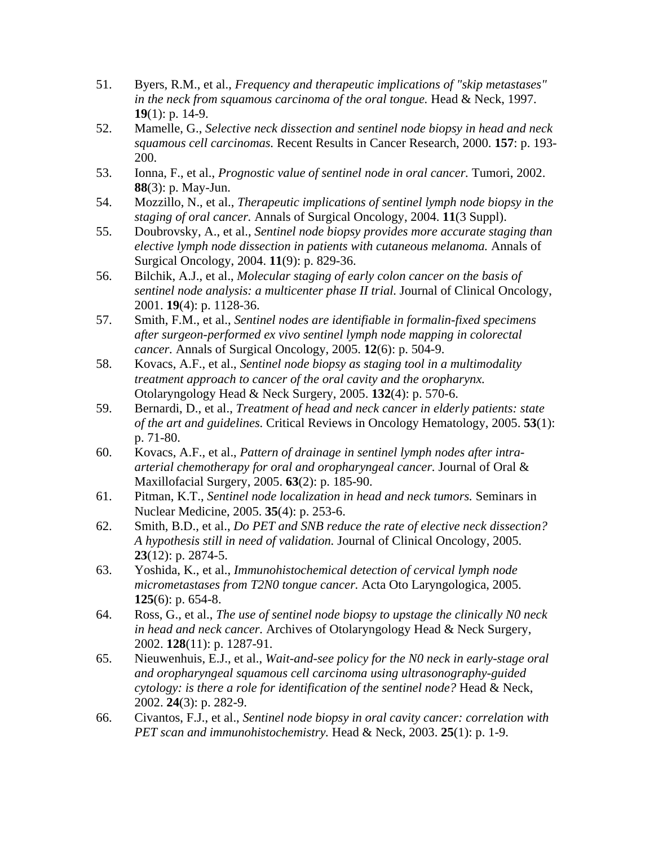- 51. Byers, R.M., et al., *Frequency and therapeutic implications of "skip metastases" in the neck from squamous carcinoma of the oral tongue.* Head & Neck, 1997. **19**(1): p. 14-9.
- 52. Mamelle, G., *Selective neck dissection and sentinel node biopsy in head and neck squamous cell carcinomas.* Recent Results in Cancer Research, 2000. **157**: p. 193- 200.
- 53. Ionna, F., et al., *Prognostic value of sentinel node in oral cancer.* Tumori, 2002. **88**(3): p. May-Jun.
- 54. Mozzillo, N., et al., *Therapeutic implications of sentinel lymph node biopsy in the staging of oral cancer.* Annals of Surgical Oncology, 2004. **11**(3 Suppl).
- 55. Doubrovsky, A., et al., *Sentinel node biopsy provides more accurate staging than elective lymph node dissection in patients with cutaneous melanoma.* Annals of Surgical Oncology, 2004. **11**(9): p. 829-36.
- 56. Bilchik, A.J., et al., *Molecular staging of early colon cancer on the basis of sentinel node analysis: a multicenter phase II trial.* Journal of Clinical Oncology, 2001. **19**(4): p. 1128-36.
- 57. Smith, F.M., et al., *Sentinel nodes are identifiable in formalin-fixed specimens after surgeon-performed ex vivo sentinel lymph node mapping in colorectal cancer.* Annals of Surgical Oncology, 2005. **12**(6): p. 504-9.
- 58. Kovacs, A.F., et al., *Sentinel node biopsy as staging tool in a multimodality treatment approach to cancer of the oral cavity and the oropharynx.* Otolaryngology Head & Neck Surgery, 2005. **132**(4): p. 570-6.
- 59. Bernardi, D., et al., *Treatment of head and neck cancer in elderly patients: state of the art and guidelines.* Critical Reviews in Oncology Hematology, 2005. **53**(1): p. 71-80.
- 60. Kovacs, A.F., et al., *Pattern of drainage in sentinel lymph nodes after intraarterial chemotherapy for oral and oropharyngeal cancer.* Journal of Oral & Maxillofacial Surgery, 2005. **63**(2): p. 185-90.
- 61. Pitman, K.T., *Sentinel node localization in head and neck tumors.* Seminars in Nuclear Medicine, 2005. **35**(4): p. 253-6.
- 62. Smith, B.D., et al., *Do PET and SNB reduce the rate of elective neck dissection? A hypothesis still in need of validation.* Journal of Clinical Oncology, 2005. **23**(12): p. 2874-5.
- 63. Yoshida, K., et al., *Immunohistochemical detection of cervical lymph node micrometastases from T2N0 tongue cancer.* Acta Oto Laryngologica, 2005. **125**(6): p. 654-8.
- 64. Ross, G., et al., *The use of sentinel node biopsy to upstage the clinically N0 neck in head and neck cancer.* Archives of Otolaryngology Head & Neck Surgery, 2002. **128**(11): p. 1287-91.
- 65. Nieuwenhuis, E.J., et al., *Wait-and-see policy for the N0 neck in early-stage oral and oropharyngeal squamous cell carcinoma using ultrasonography-guided cytology: is there a role for identification of the sentinel node?* Head & Neck, 2002. **24**(3): p. 282-9.
- 66. Civantos, F.J., et al., *Sentinel node biopsy in oral cavity cancer: correlation with PET scan and immunohistochemistry.* Head & Neck, 2003. **25**(1): p. 1-9.